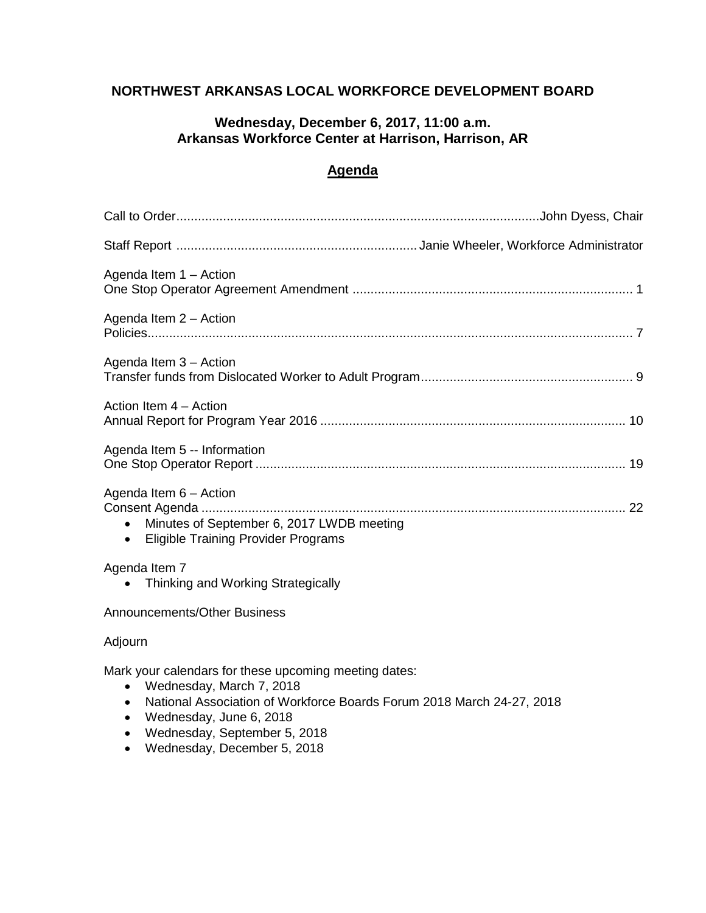# **NORTHWEST ARKANSAS LOCAL WORKFORCE DEVELOPMENT BOARD**

# **Wednesday, December 6, 2017, 11:00 a.m. Arkansas Workforce Center at Harrison, Harrison, AR**

# **Agenda**

| Agenda Item 1 - Action                                                                                                                                                                                                                                            |  |
|-------------------------------------------------------------------------------------------------------------------------------------------------------------------------------------------------------------------------------------------------------------------|--|
| Agenda Item 2 - Action                                                                                                                                                                                                                                            |  |
| Agenda Item 3 - Action                                                                                                                                                                                                                                            |  |
| Action Item 4 - Action                                                                                                                                                                                                                                            |  |
| Agenda Item 5 -- Information                                                                                                                                                                                                                                      |  |
| Agenda Item 6 - Action<br>Minutes of September 6, 2017 LWDB meeting<br>$\bullet$<br><b>Eligible Training Provider Programs</b><br>$\bullet$                                                                                                                       |  |
| Agenda Item 7<br>Thinking and Working Strategically                                                                                                                                                                                                               |  |
| Announcements/Other Business                                                                                                                                                                                                                                      |  |
| Adjourn                                                                                                                                                                                                                                                           |  |
| Mark your calendars for these upcoming meeting dates:<br>Wednesday, March 7, 2018<br>$\bullet$<br>National Association of Workforce Boards Forum 2018 March 24-27, 2018<br>٠<br>Wednesday, June 6, 2018<br>$\bullet$<br>Wednesday, September 5, 2018<br>$\bullet$ |  |

Wednesday, December 5, 2018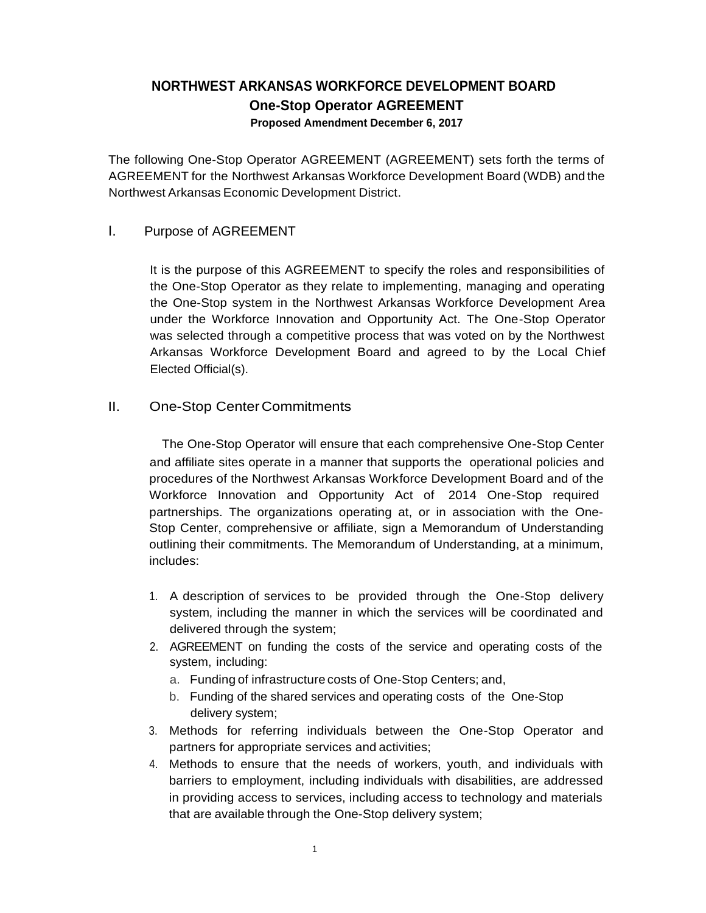# **NORTHWEST ARKANSAS WORKFORCE DEVELOPMENT BOARD One-Stop Operator AGREEMENT Proposed Amendment December 6, 2017**

The following One-Stop Operator AGREEMENT (AGREEMENT) sets forth the terms of AGREEMENT for the Northwest Arkansas Workforce Development Board (WDB) and the Northwest Arkansas Economic Development District.

# I. Purpose of AGREEMENT

It is the purpose of this AGREEMENT to specify the roles and responsibilities of the One-Stop Operator as they relate to implementing, managing and operating the One-Stop system in the Northwest Arkansas Workforce Development Area under the Workforce Innovation and Opportunity Act. The One-Stop Operator was selected through a competitive process that was voted on by the Northwest Arkansas Workforce Development Board and agreed to by the Local Chief Elected Official(s).

# II. One-Stop CenterCommitments

The One-Stop Operator will ensure that each comprehensive One-Stop Center and affiliate sites operate in a manner that supports the operational policies and procedures of the Northwest Arkansas Workforce Development Board and of the Workforce Innovation and Opportunity Act of 2014 One-Stop required partnerships. The organizations operating at, or in association with the One-Stop Center, comprehensive or affiliate, sign a Memorandum of Understanding outlining their commitments. The Memorandum of Understanding, at a minimum, includes:

- 1. A description of services to be provided through the One-Stop delivery system, including the manner in which the services will be coordinated and delivered through the system;
- 2. AGREEMENT on funding the costs of the service and operating costs of the system, including:
	- a. Funding of infrastructure costs of One-Stop Centers; and,
	- b. Funding of the shared services and operating costs of the One-Stop delivery system;
- 3. Methods for referring individuals between the One-Stop Operator and partners for appropriate services and activities;
- 4. Methods to ensure that the needs of workers, youth, and individuals with barriers to employment, including individuals with disabilities, are addressed in providing access to services, including access to technology and materials that are available through the One-Stop delivery system;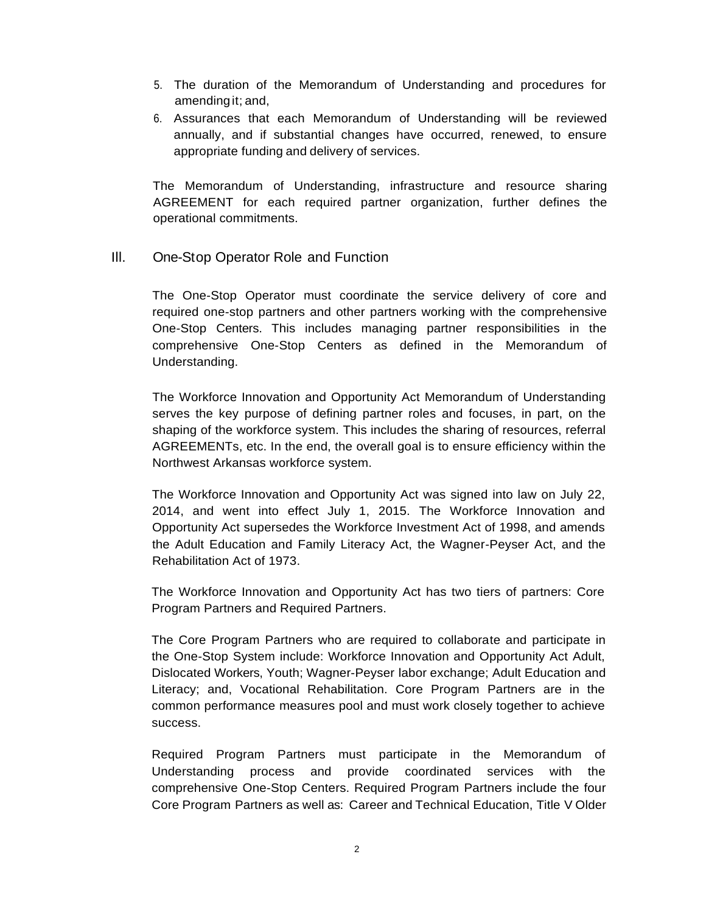- 5. The duration of the Memorandum of Understanding and procedures for amending it; and,
- 6. Assurances that each Memorandum of Understanding will be reviewed annually, and if substantial changes have occurred, renewed, to ensure appropriate funding and delivery of services.

The Memorandum of Understanding, infrastructure and resource sharing AGREEMENT for each required partner organization, further defines the operational commitments.

Ill. One-Stop Operator Role and Function

The One-Stop Operator must coordinate the service delivery of core and required one-stop partners and other partners working with the comprehensive One-Stop Centers. This includes managing partner responsibilities in the comprehensive One-Stop Centers as defined in the Memorandum of Understanding.

The Workforce Innovation and Opportunity Act Memorandum of Understanding serves the key purpose of defining partner roles and focuses, in part, on the shaping of the workforce system. This includes the sharing of resources, referral AGREEMENTs, etc. In the end, the overall goal is to ensure efficiency within the Northwest Arkansas workforce system.

The Workforce Innovation and Opportunity Act was signed into law on July 22, 2014, and went into effect July 1, 2015. The Workforce Innovation and Opportunity Act supersedes the Workforce Investment Act of 1998, and amends the Adult Education and Family Literacy Act, the Wagner-Peyser Act, and the Rehabilitation Act of 1973.

The Workforce Innovation and Opportunity Act has two tiers of partners: Core Program Partners and Required Partners.

The Core Program Partners who are required to collaborate and participate in the One-Stop System include: Workforce Innovation and Opportunity Act Adult, Dislocated Workers, Youth; Wagner-Peyser labor exchange; Adult Education and Literacy; and, Vocational Rehabilitation. Core Program Partners are in the common performance measures pool and must work closely together to achieve success.

Required Program Partners must participate in the Memorandum of Understanding process and provide coordinated services with the comprehensive One-Stop Centers. Required Program Partners include the four Core Program Partners as well as: Career and Technical Education, Title V Older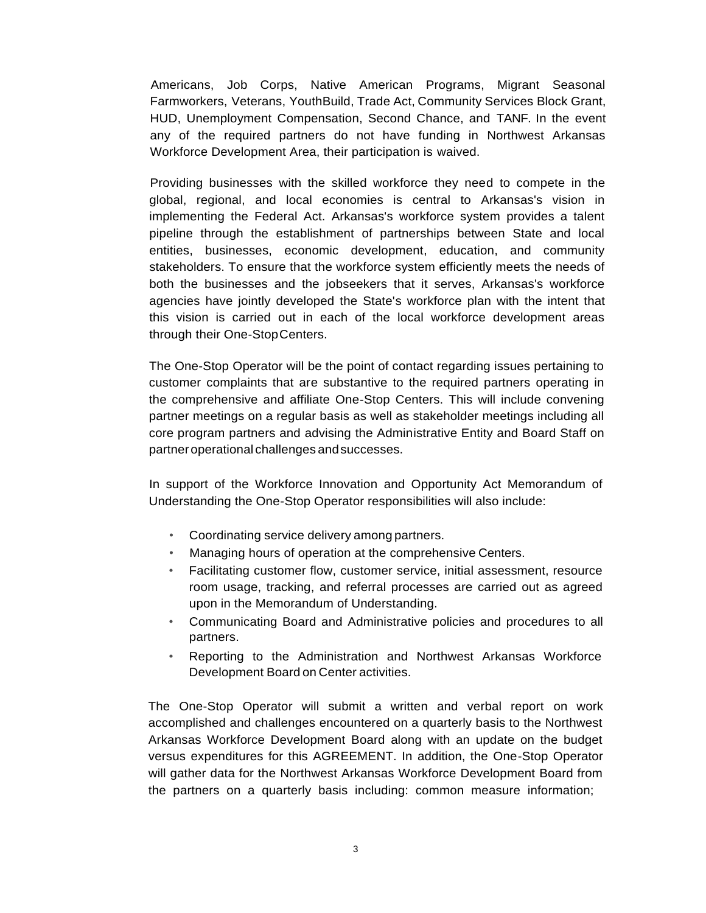Americans, Job Corps, Native American Programs, Migrant Seasonal Farmworkers, Veterans, YouthBuild, Trade Act, Community Services Block Grant, HUD, Unemployment Compensation, Second Chance, and TANF. In the event any of the required partners do not have funding in Northwest Arkansas Workforce Development Area, their participation is waived.

Providing businesses with the skilled workforce they need to compete in the global, regional, and local economies is central to Arkansas's vision in implementing the Federal Act. Arkansas's workforce system provides a talent pipeline through the establishment of partnerships between State and local entities, businesses, economic development, education, and community stakeholders. To ensure that the workforce system efficiently meets the needs of both the businesses and the jobseekers that it serves, Arkansas's workforce agencies have jointly developed the State's workforce plan with the intent that this vision is carried out in each of the local workforce development areas through their One-StopCenters.

The One-Stop Operator will be the point of contact regarding issues pertaining to customer complaints that are substantive to the required partners operating in the comprehensive and affiliate One-Stop Centers. This will include convening partner meetings on a regular basis as well as stakeholder meetings including all core program partners and advising the Administrative Entity and Board Staff on partneroperational challenges andsuccesses.

In support of the Workforce Innovation and Opportunity Act Memorandum of Understanding the One-Stop Operator responsibilities will also include:

- Coordinating service delivery among partners.
- Managing hours of operation at the comprehensive Centers.
- Facilitating customer flow, customer service, initial assessment, resource room usage, tracking, and referral processes are carried out as agreed upon in the Memorandum of Understanding.
- Communicating Board and Administrative policies and procedures to all partners.
- Reporting to the Administration and Northwest Arkansas Workforce Development Board on Center activities.

The One-Stop Operator will submit a written and verbal report on work accomplished and challenges encountered on a quarterly basis to the Northwest Arkansas Workforce Development Board along with an update on the budget versus expenditures for this AGREEMENT. In addition, the One-Stop Operator will gather data for the Northwest Arkansas Workforce Development Board from the partners on a quarterly basis including: common measure information;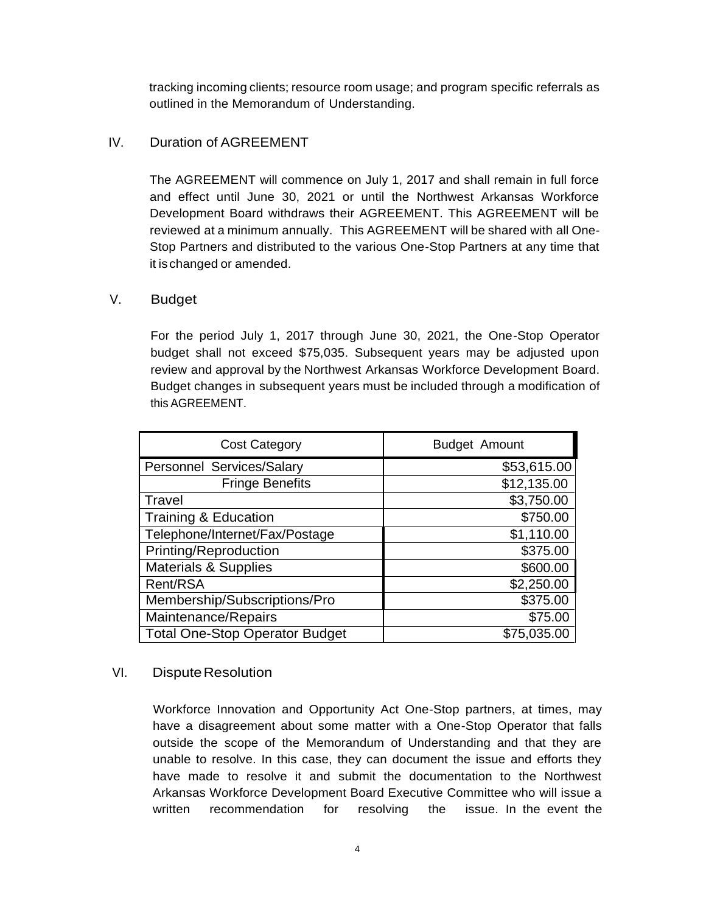tracking incoming clients; resource room usage; and program specific referrals as outlined in the Memorandum of Understanding.

# IV. Duration of AGREEMENT

The AGREEMENT will commence on July 1, 2017 and shall remain in full force and effect until June 30, 2021 or until the Northwest Arkansas Workforce Development Board withdraws their AGREEMENT. This AGREEMENT will be reviewed at a minimum annually. This AGREEMENT will be shared with all One-Stop Partners and distributed to the various One-Stop Partners at any time that it is changed or amended.

#### V. Budget

For the period July 1, 2017 through June 30, 2021, the One-Stop Operator budget shall not exceed \$75,035. Subsequent years may be adjusted upon review and approval by the Northwest Arkansas Workforce Development Board. Budget changes in subsequent years must be included through a modification of this AGREEMENT.

| <b>Cost Category</b>                  | Budget Amount |
|---------------------------------------|---------------|
| Personnel Services/Salary             | \$53,615.00   |
| <b>Fringe Benefits</b>                | \$12,135.00   |
| Travel                                | \$3,750.00    |
| <b>Training &amp; Education</b>       | \$750.00      |
| Telephone/Internet/Fax/Postage        | \$1,110.00    |
| Printing/Reproduction                 | \$375.00      |
| <b>Materials &amp; Supplies</b>       | \$600.00      |
| Rent/RSA                              | \$2,250.00    |
| Membership/Subscriptions/Pro          | \$375.00      |
| Maintenance/Repairs                   | \$75.00       |
| <b>Total One-Stop Operator Budget</b> | \$75,035.00   |

# VI. Dispute Resolution

Workforce Innovation and Opportunity Act One-Stop partners, at times, may have a disagreement about some matter with a One-Stop Operator that falls outside the scope of the Memorandum of Understanding and that they are unable to resolve. In this case, they can document the issue and efforts they have made to resolve it and submit the documentation to the Northwest Arkansas Workforce Development Board Executive Committee who will issue a written recommendation for resolving the issue. In the event the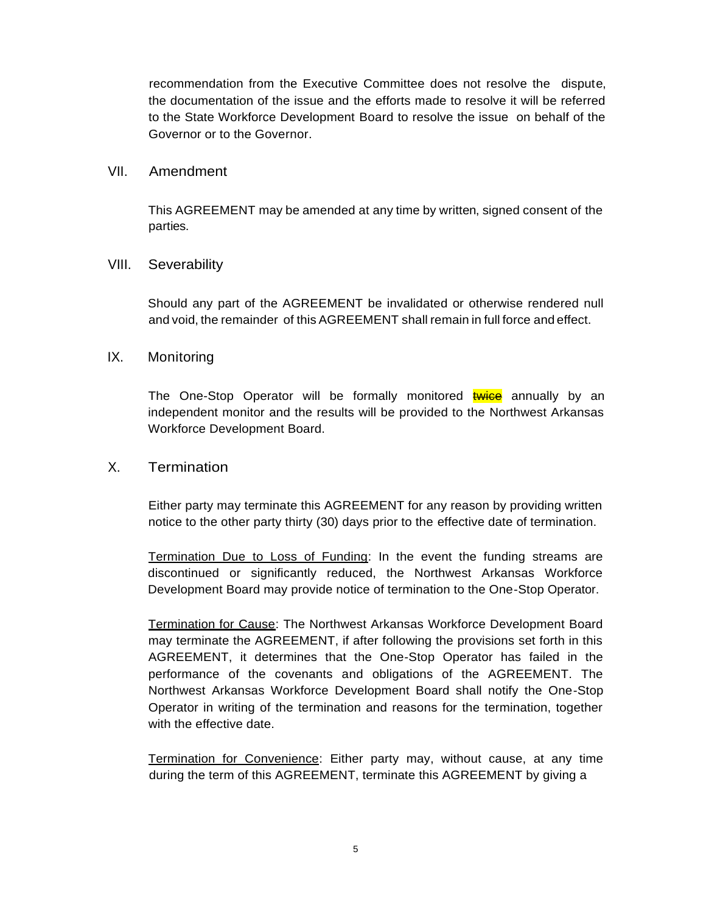recommendation from the Executive Committee does not resolve the dispute, the documentation of the issue and the efforts made to resolve it will be referred to the State Workforce Development Board to resolve the issue on behalf of the Governor or to the Governor.

#### VII. Amendment

This AGREEMENT may be amended at any time by written, signed consent of the parties.

#### VIII. Severability

Should any part of the AGREEMENT be invalidated or otherwise rendered null and void, the remainder of this AGREEMENT shall remain in full force and effect.

# IX. Monitoring

The One-Stop Operator will be formally monitored twice annually by an independent monitor and the results will be provided to the Northwest Arkansas Workforce Development Board.

# X. Termination

Either party may terminate this AGREEMENT for any reason by providing written notice to the other party thirty (30) days prior to the effective date of termination.

Termination Due to Loss of Funding: In the event the funding streams are discontinued or significantly reduced, the Northwest Arkansas Workforce Development Board may provide notice of termination to the One-Stop Operator.

Termination for Cause: The Northwest Arkansas Workforce Development Board may terminate the AGREEMENT, if after following the provisions set forth in this AGREEMENT, it determines that the One-Stop Operator has failed in the performance of the covenants and obligations of the AGREEMENT. The Northwest Arkansas Workforce Development Board shall notify the One-Stop Operator in writing of the termination and reasons for the termination, together with the effective date.

Termination for Convenience: Either party may, without cause, at any time during the term of this AGREEMENT, terminate this AGREEMENT by giving a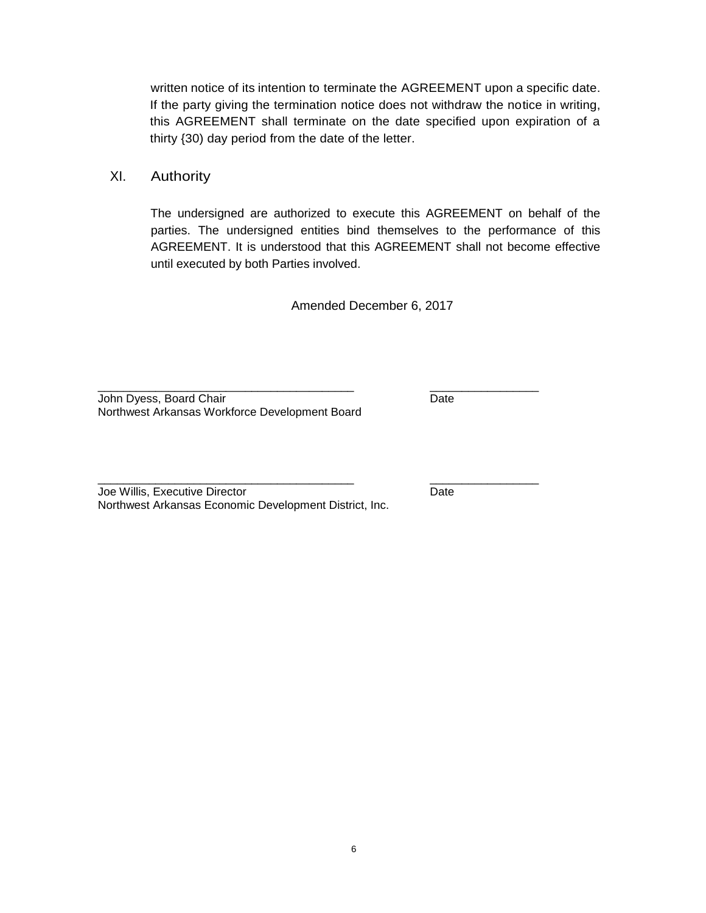written notice of its intention to terminate the AGREEMENT upon a specific date. If the party giving the termination notice does not withdraw the notice in writing, this AGREEMENT shall terminate on the date specified upon expiration of a thirty {30) day period from the date of the letter.

XI. Authority

The undersigned are authorized to execute this AGREEMENT on behalf of the parties. The undersigned entities bind themselves to the performance of this AGREEMENT. It is understood that this AGREEMENT shall not become effective until executed by both Parties involved.

Amended December 6, 2017

\_\_\_\_\_\_\_\_\_\_\_\_\_\_\_\_\_\_\_\_\_\_\_\_\_\_\_\_\_\_\_\_\_\_\_\_\_\_\_\_ \_\_\_\_\_\_\_\_\_\_\_\_\_\_\_\_\_

\_\_\_\_\_\_\_\_\_\_\_\_\_\_\_\_\_\_\_\_\_\_\_\_\_\_\_\_\_\_\_\_\_\_\_\_\_\_\_\_ \_\_\_\_\_\_\_\_\_\_\_\_\_\_\_\_\_

John Dyess, Board Chair Date Date Date Northwest Arkansas Workforce Development Board

Joe Willis, Executive Director **Date** Date Northwest Arkansas Economic Development District, Inc.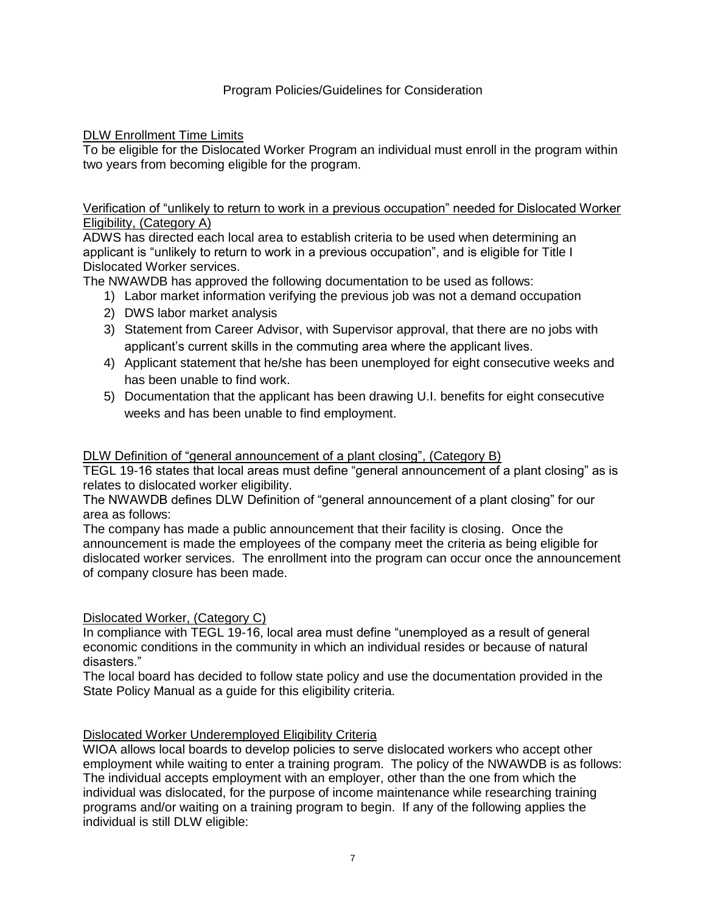### DLW Enrollment Time Limits

To be eligible for the Dislocated Worker Program an individual must enroll in the program within two years from becoming eligible for the program.

### Verification of "unlikely to return to work in a previous occupation" needed for Dislocated Worker Eligibility, (Category A)

ADWS has directed each local area to establish criteria to be used when determining an applicant is "unlikely to return to work in a previous occupation", and is eligible for Title I Dislocated Worker services.

The NWAWDB has approved the following documentation to be used as follows:

- 1) Labor market information verifying the previous job was not a demand occupation
- 2) DWS labor market analysis
- 3) Statement from Career Advisor, with Supervisor approval, that there are no jobs with applicant's current skills in the commuting area where the applicant lives.
- 4) Applicant statement that he/she has been unemployed for eight consecutive weeks and has been unable to find work.
- 5) Documentation that the applicant has been drawing U.I. benefits for eight consecutive weeks and has been unable to find employment.

### DLW Definition of "general announcement of a plant closing", (Category B)

TEGL 19-16 states that local areas must define "general announcement of a plant closing" as is relates to dislocated worker eligibility.

The NWAWDB defines DLW Definition of "general announcement of a plant closing" for our area as follows:

The company has made a public announcement that their facility is closing. Once the announcement is made the employees of the company meet the criteria as being eligible for dislocated worker services. The enrollment into the program can occur once the announcement of company closure has been made.

#### Dislocated Worker, (Category C)

In compliance with TEGL 19-16, local area must define "unemployed as a result of general economic conditions in the community in which an individual resides or because of natural disasters."

The local board has decided to follow state policy and use the documentation provided in the State Policy Manual as a guide for this eligibility criteria.

#### Dislocated Worker Underemployed Eligibility Criteria

WIOA allows local boards to develop policies to serve dislocated workers who accept other employment while waiting to enter a training program. The policy of the NWAWDB is as follows: The individual accepts employment with an employer, other than the one from which the individual was dislocated, for the purpose of income maintenance while researching training programs and/or waiting on a training program to begin. If any of the following applies the individual is still DLW eligible: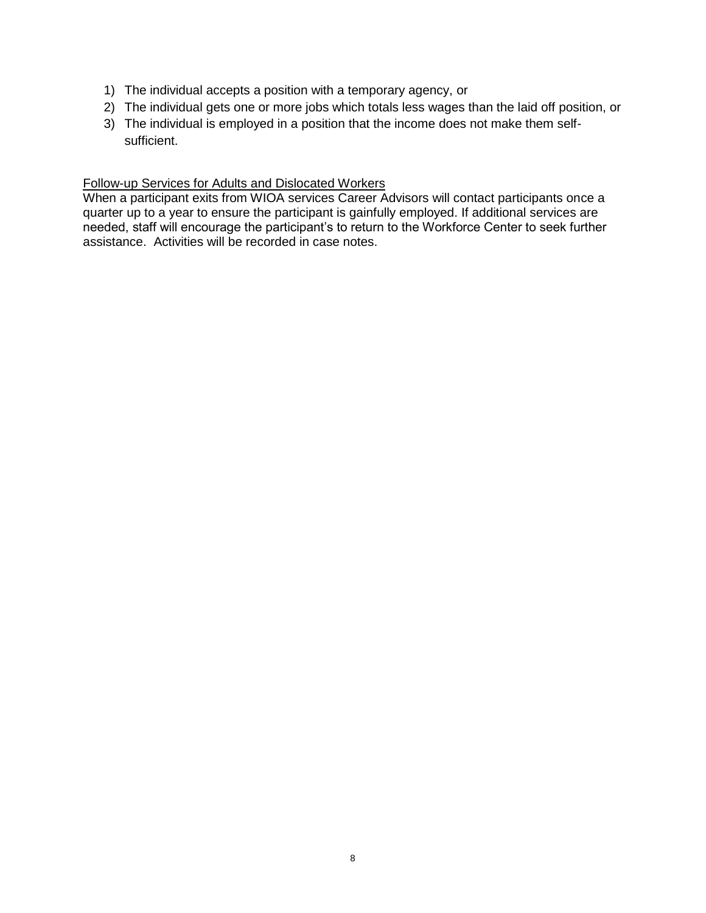- 1) The individual accepts a position with a temporary agency, or
- 2) The individual gets one or more jobs which totals less wages than the laid off position, or
- 3) The individual is employed in a position that the income does not make them selfsufficient.

# Follow-up Services for Adults and Dislocated Workers

When a participant exits from WIOA services Career Advisors will contact participants once a quarter up to a year to ensure the participant is gainfully employed. If additional services are needed, staff will encourage the participant's to return to the Workforce Center to seek further assistance. Activities will be recorded in case notes.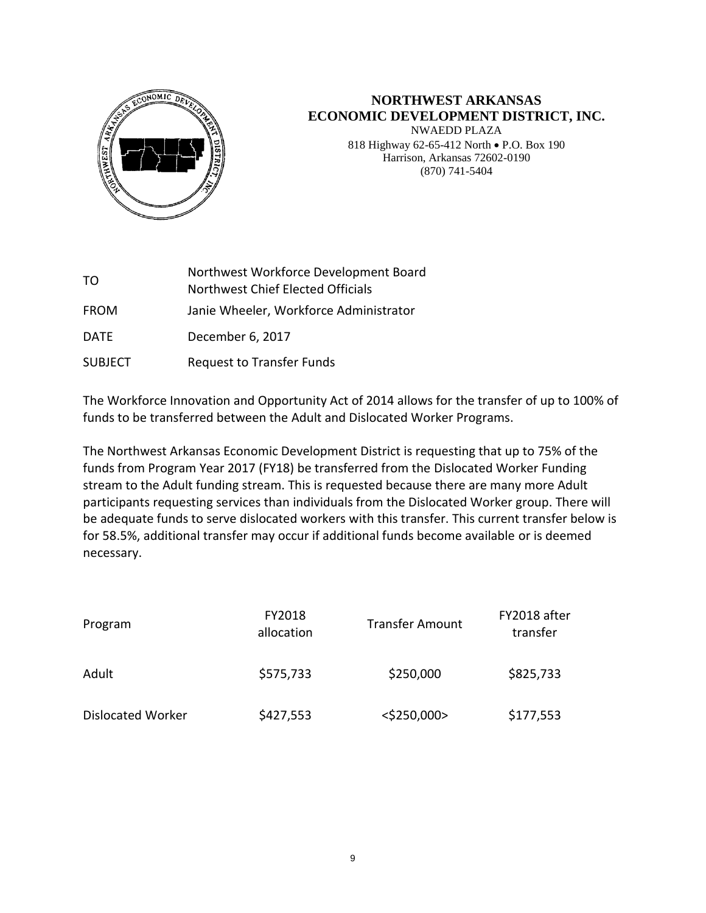

# **NORTHWEST ARKANSAS ECONOMIC DEVELOPMENT DISTRICT, INC.**

NWAEDD PLAZA 818 Highway 62-65-412 North . P.O. Box 190 Harrison, Arkansas 72602-0190 (870) 741-5404

| TO.            | Northwest Workforce Development Board<br>Northwest Chief Elected Officials |
|----------------|----------------------------------------------------------------------------|
| <b>FROM</b>    | Janie Wheeler, Workforce Administrator                                     |
| <b>DATE</b>    | December 6, 2017                                                           |
| <b>SUBJECT</b> | <b>Request to Transfer Funds</b>                                           |

The Workforce Innovation and Opportunity Act of 2014 allows for the transfer of up to 100% of funds to be transferred between the Adult and Dislocated Worker Programs.

The Northwest Arkansas Economic Development District is requesting that up to 75% of the funds from Program Year 2017 (FY18) be transferred from the Dislocated Worker Funding stream to the Adult funding stream. This is requested because there are many more Adult participants requesting services than individuals from the Dislocated Worker group. There will be adequate funds to serve dislocated workers with this transfer. This current transfer below is for 58.5%, additional transfer may occur if additional funds become available or is deemed necessary.

| Program                  | FY2018<br>allocation | FY2018 after<br><b>Transfer Amount</b><br>transfer |           |
|--------------------------|----------------------|----------------------------------------------------|-----------|
| Adult                    | \$575,733            | \$250,000                                          | \$825,733 |
| <b>Dislocated Worker</b> | \$427,553            | $<$ \$250,000>                                     | \$177,553 |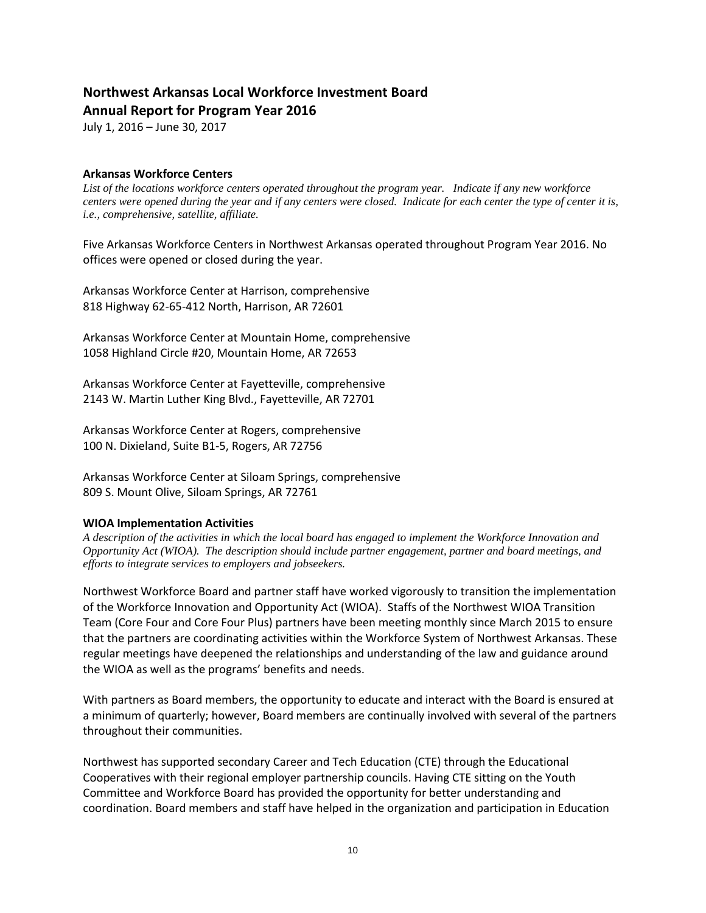# **Northwest Arkansas Local Workforce Investment Board**

**Annual Report for Program Year 2016**

July 1, 2016 – June 30, 2017

#### **Arkansas Workforce Centers**

*List of the locations workforce centers operated throughout the program year. Indicate if any new workforce centers were opened during the year and if any centers were closed. Indicate for each center the type of center it is, i.e., comprehensive, satellite, affiliate.*

Five Arkansas Workforce Centers in Northwest Arkansas operated throughout Program Year 2016. No offices were opened or closed during the year.

Arkansas Workforce Center at Harrison, comprehensive 818 Highway 62-65-412 North, Harrison, AR 72601

Arkansas Workforce Center at Mountain Home, comprehensive 1058 Highland Circle #20, Mountain Home, AR 72653

Arkansas Workforce Center at Fayetteville, comprehensive 2143 W. Martin Luther King Blvd., Fayetteville, AR 72701

Arkansas Workforce Center at Rogers, comprehensive 100 N. Dixieland, Suite B1-5, Rogers, AR 72756

Arkansas Workforce Center at Siloam Springs, comprehensive 809 S. Mount Olive, Siloam Springs, AR 72761

#### **WIOA Implementation Activities**

*A description of the activities in which the local board has engaged to implement the Workforce Innovation and Opportunity Act (WIOA). The description should include partner engagement, partner and board meetings, and efforts to integrate services to employers and jobseekers.*

Northwest Workforce Board and partner staff have worked vigorously to transition the implementation of the Workforce Innovation and Opportunity Act (WIOA). Staffs of the Northwest WIOA Transition Team (Core Four and Core Four Plus) partners have been meeting monthly since March 2015 to ensure that the partners are coordinating activities within the Workforce System of Northwest Arkansas. These regular meetings have deepened the relationships and understanding of the law and guidance around the WIOA as well as the programs' benefits and needs.

With partners as Board members, the opportunity to educate and interact with the Board is ensured at a minimum of quarterly; however, Board members are continually involved with several of the partners throughout their communities.

Northwest has supported secondary Career and Tech Education (CTE) through the Educational Cooperatives with their regional employer partnership councils. Having CTE sitting on the Youth Committee and Workforce Board has provided the opportunity for better understanding and coordination. Board members and staff have helped in the organization and participation in Education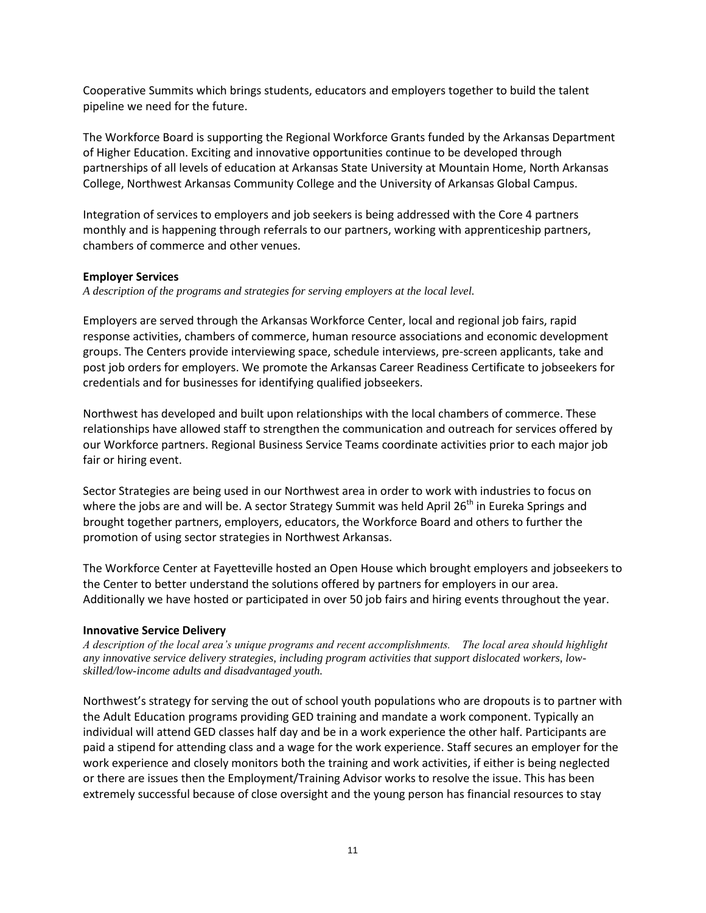Cooperative Summits which brings students, educators and employers together to build the talent pipeline we need for the future.

The Workforce Board is supporting the Regional Workforce Grants funded by the Arkansas Department of Higher Education. Exciting and innovative opportunities continue to be developed through partnerships of all levels of education at Arkansas State University at Mountain Home, North Arkansas College, Northwest Arkansas Community College and the University of Arkansas Global Campus.

Integration of services to employers and job seekers is being addressed with the Core 4 partners monthly and is happening through referrals to our partners, working with apprenticeship partners, chambers of commerce and other venues.

#### **Employer Services**

*A description of the programs and strategies for serving employers at the local level.*

Employers are served through the Arkansas Workforce Center, local and regional job fairs, rapid response activities, chambers of commerce, human resource associations and economic development groups. The Centers provide interviewing space, schedule interviews, pre-screen applicants, take and post job orders for employers. We promote the Arkansas Career Readiness Certificate to jobseekers for credentials and for businesses for identifying qualified jobseekers.

Northwest has developed and built upon relationships with the local chambers of commerce. These relationships have allowed staff to strengthen the communication and outreach for services offered by our Workforce partners. Regional Business Service Teams coordinate activities prior to each major job fair or hiring event.

Sector Strategies are being used in our Northwest area in order to work with industries to focus on where the jobs are and will be. A sector Strategy Summit was held April 26<sup>th</sup> in Eureka Springs and brought together partners, employers, educators, the Workforce Board and others to further the promotion of using sector strategies in Northwest Arkansas.

The Workforce Center at Fayetteville hosted an Open House which brought employers and jobseekers to the Center to better understand the solutions offered by partners for employers in our area. Additionally we have hosted or participated in over 50 job fairs and hiring events throughout the year.

#### **Innovative Service Delivery**

*A description of the local area's unique programs and recent accomplishments. The local area should highlight any innovative service delivery strategies, including program activities that support dislocated workers, lowskilled/low-income adults and disadvantaged youth.* 

Northwest's strategy for serving the out of school youth populations who are dropouts is to partner with the Adult Education programs providing GED training and mandate a work component. Typically an individual will attend GED classes half day and be in a work experience the other half. Participants are paid a stipend for attending class and a wage for the work experience. Staff secures an employer for the work experience and closely monitors both the training and work activities, if either is being neglected or there are issues then the Employment/Training Advisor works to resolve the issue. This has been extremely successful because of close oversight and the young person has financial resources to stay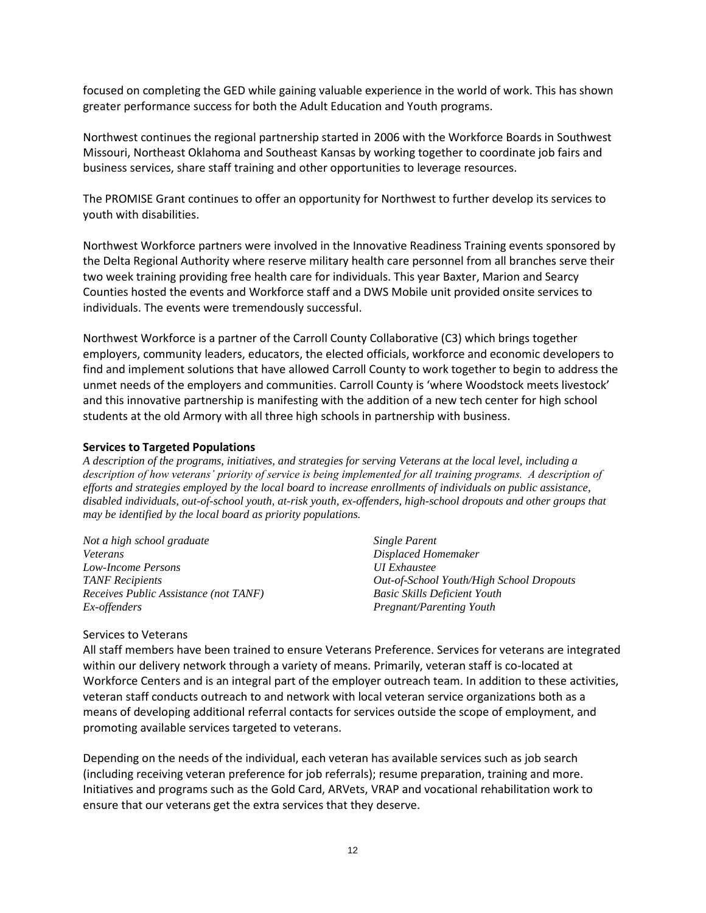focused on completing the GED while gaining valuable experience in the world of work. This has shown greater performance success for both the Adult Education and Youth programs.

Northwest continues the regional partnership started in 2006 with the Workforce Boards in Southwest Missouri, Northeast Oklahoma and Southeast Kansas by working together to coordinate job fairs and business services, share staff training and other opportunities to leverage resources.

The PROMISE Grant continues to offer an opportunity for Northwest to further develop its services to youth with disabilities.

Northwest Workforce partners were involved in the Innovative Readiness Training events sponsored by the Delta Regional Authority where reserve military health care personnel from all branches serve their two week training providing free health care for individuals. This year Baxter, Marion and Searcy Counties hosted the events and Workforce staff and a DWS Mobile unit provided onsite services to individuals. The events were tremendously successful.

Northwest Workforce is a partner of the Carroll County Collaborative (C3) which brings together employers, community leaders, educators, the elected officials, workforce and economic developers to find and implement solutions that have allowed Carroll County to work together to begin to address the unmet needs of the employers and communities. Carroll County is 'where Woodstock meets livestock' and this innovative partnership is manifesting with the addition of a new tech center for high school students at the old Armory with all three high schools in partnership with business.

#### **Services to Targeted Populations**

*A description of the programs, initiatives, and strategies for serving Veterans at the local level, including a*  description of how veterans' priority of service is being implemented for all training programs. A description of *efforts and strategies employed by the local board to increase enrollments of individuals on public assistance, disabled individuals, out-of-school youth, at-risk youth, ex-offenders, high-school dropouts and other groups that may be identified by the local board as priority populations.*

*Not a high school graduate Veterans Low-Income Persons TANF Recipients Receives Public Assistance (not TANF) Ex-offenders*

*Single Parent Displaced Homemaker UI Exhaustee Out-of-School Youth/High School Dropouts Basic Skills Deficient Youth Pregnant/Parenting Youth*

#### Services to Veterans

All staff members have been trained to ensure Veterans Preference. Services for veterans are integrated within our delivery network through a variety of means. Primarily, veteran staff is co-located at Workforce Centers and is an integral part of the employer outreach team. In addition to these activities, veteran staff conducts outreach to and network with local veteran service organizations both as a means of developing additional referral contacts for services outside the scope of employment, and promoting available services targeted to veterans.

Depending on the needs of the individual, each veteran has available services such as job search (including receiving veteran preference for job referrals); resume preparation, training and more. Initiatives and programs such as the Gold Card, ARVets, VRAP and vocational rehabilitation work to ensure that our veterans get the extra services that they deserve.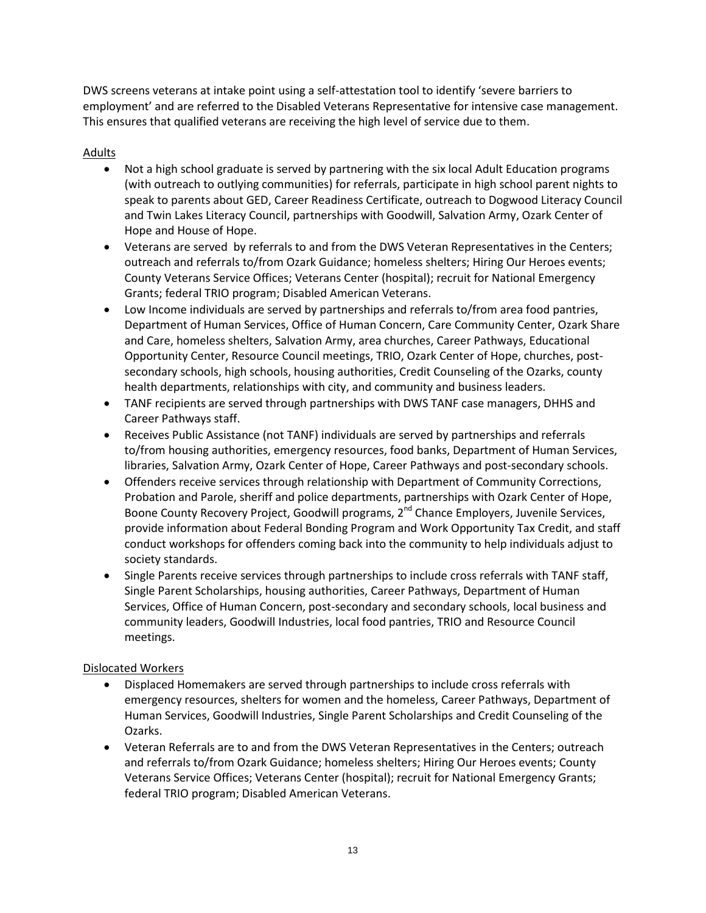DWS screens veterans at intake point using a self-attestation tool to identify 'severe barriers to employment' and are referred to the Disabled Veterans Representative for intensive case management. This ensures that qualified veterans are receiving the high level of service due to them.

#### Adults

- Not a high school graduate is served by partnering with the six local Adult Education programs (with outreach to outlying communities) for referrals, participate in high school parent nights to speak to parents about GED, Career Readiness Certificate, outreach to Dogwood Literacy Council and Twin Lakes Literacy Council, partnerships with Goodwill, Salvation Army, Ozark Center of Hope and House of Hope.
- Veterans are served by referrals to and from the DWS Veteran Representatives in the Centers; outreach and referrals to/from Ozark Guidance; homeless shelters; Hiring Our Heroes events; County Veterans Service Offices; Veterans Center (hospital); recruit for National Emergency Grants; federal TRIO program; Disabled American Veterans.
- Low Income individuals are served by partnerships and referrals to/from area food pantries, Department of Human Services, Office of Human Concern, Care Community Center, Ozark Share and Care, homeless shelters, Salvation Army, area churches, Career Pathways, Educational Opportunity Center, Resource Council meetings, TRIO, Ozark Center of Hope, churches, postsecondary schools, high schools, housing authorities, Credit Counseling of the Ozarks, county health departments, relationships with city, and community and business leaders.
- TANF recipients are served through partnerships with DWS TANF case managers, DHHS and Career Pathways staff.
- Receives Public Assistance (not TANF) individuals are served by partnerships and referrals to/from housing authorities, emergency resources, food banks, Department of Human Services, libraries, Salvation Army, Ozark Center of Hope, Career Pathways and post-secondary schools.
- Offenders receive services through relationship with Department of Community Corrections, Probation and Parole, sheriff and police departments, partnerships with Ozark Center of Hope, Boone County Recovery Project, Goodwill programs, 2<sup>nd</sup> Chance Employers, Juvenile Services, provide information about Federal Bonding Program and Work Opportunity Tax Credit, and staff conduct workshops for offenders coming back into the community to help individuals adjust to society standards.
- Single Parents receive services through partnerships to include cross referrals with TANF staff, Single Parent Scholarships, housing authorities, Career Pathways, Department of Human Services, Office of Human Concern, post-secondary and secondary schools, local business and community leaders, Goodwill Industries, local food pantries, TRIO and Resource Council meetings.

# Dislocated Workers

- Displaced Homemakers are served through partnerships to include cross referrals with emergency resources, shelters for women and the homeless, Career Pathways, Department of Human Services, Goodwill Industries, Single Parent Scholarships and Credit Counseling of the Ozarks.
- Veteran Referrals are to and from the DWS Veteran Representatives in the Centers; outreach and referrals to/from Ozark Guidance; homeless shelters; Hiring Our Heroes events; County Veterans Service Offices; Veterans Center (hospital); recruit for National Emergency Grants; federal TRIO program; Disabled American Veterans.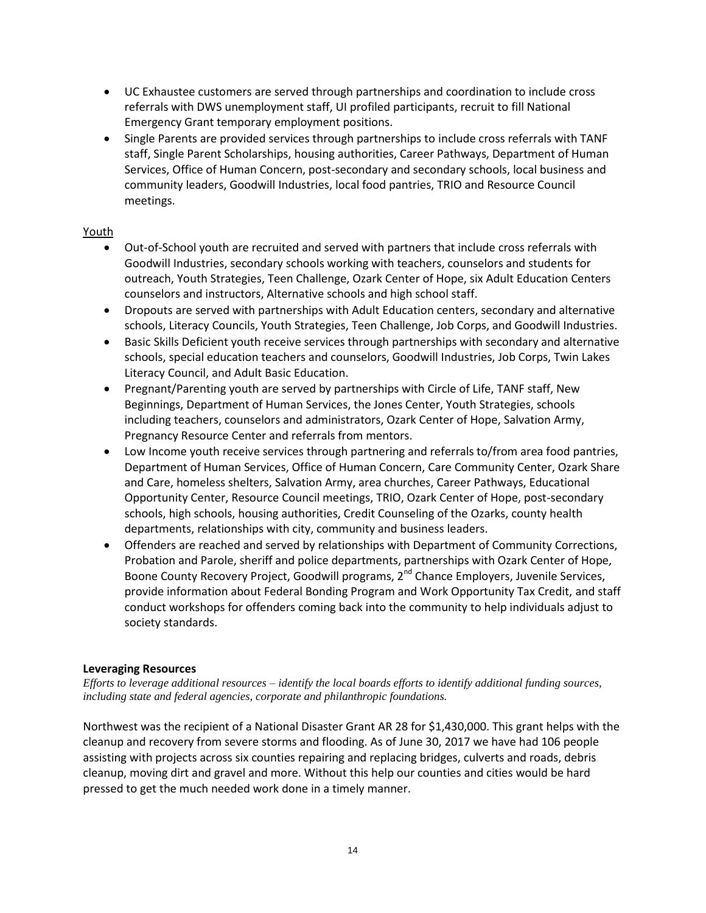- UC Exhaustee customers are served through partnerships and coordination to include cross referrals with DWS unemployment staff, UI profiled participants, recruit to fill National Emergency Grant temporary employment positions.
- Single Parents are provided services through partnerships to include cross referrals with TANF staff, Single Parent Scholarships, housing authorities, Career Pathways, Department of Human Services, Office of Human Concern, post-secondary and secondary schools, local business and community leaders, Goodwill Industries, local food pantries, TRIO and Resource Council meetings.

#### Youth

- Out-of-School youth are recruited and served with partners that include cross referrals with Goodwill Industries, secondary schools working with teachers, counselors and students for outreach, Youth Strategies, Teen Challenge, Ozark Center of Hope, six Adult Education Centers counselors and instructors, Alternative schools and high school staff.
- Dropouts are served with partnerships with Adult Education centers, secondary and alternative schools, Literacy Councils, Youth Strategies, Teen Challenge, Job Corps, and Goodwill Industries.
- Basic Skills Deficient youth receive services through partnerships with secondary and alternative schools, special education teachers and counselors, Goodwill Industries, Job Corps, Twin Lakes Literacy Council, and Adult Basic Education.
- Pregnant/Parenting youth are served by partnerships with Circle of Life, TANF staff, New Beginnings, Department of Human Services, the Jones Center, Youth Strategies, schools including teachers, counselors and administrators, Ozark Center of Hope, Salvation Army, Pregnancy Resource Center and referrals from mentors.
- Low Income youth receive services through partnering and referrals to/from area food pantries, Department of Human Services, Office of Human Concern, Care Community Center, Ozark Share and Care, homeless shelters, Salvation Army, area churches, Career Pathways, Educational Opportunity Center, Resource Council meetings, TRIO, Ozark Center of Hope, post-secondary schools, high schools, housing authorities, Credit Counseling of the Ozarks, county health departments, relationships with city, community and business leaders.
- Offenders are reached and served by relationships with Department of Community Corrections, Probation and Parole, sheriff and police departments, partnerships with Ozark Center of Hope, Boone County Recovery Project, Goodwill programs, 2<sup>nd</sup> Chance Employers, Juvenile Services, provide information about Federal Bonding Program and Work Opportunity Tax Credit, and staff conduct workshops for offenders coming back into the community to help individuals adjust to society standards.

#### **Leveraging Resources**

*Efforts to leverage additional resources – identify the local boards efforts to identify additional funding sources, including state and federal agencies, corporate and philanthropic foundations.*

Northwest was the recipient of a National Disaster Grant AR 28 for \$1,430,000. This grant helps with the cleanup and recovery from severe storms and flooding. As of June 30, 2017 we have had 106 people assisting with projects across six counties repairing and replacing bridges, culverts and roads, debris cleanup, moving dirt and gravel and more. Without this help our counties and cities would be hard pressed to get the much needed work done in a timely manner.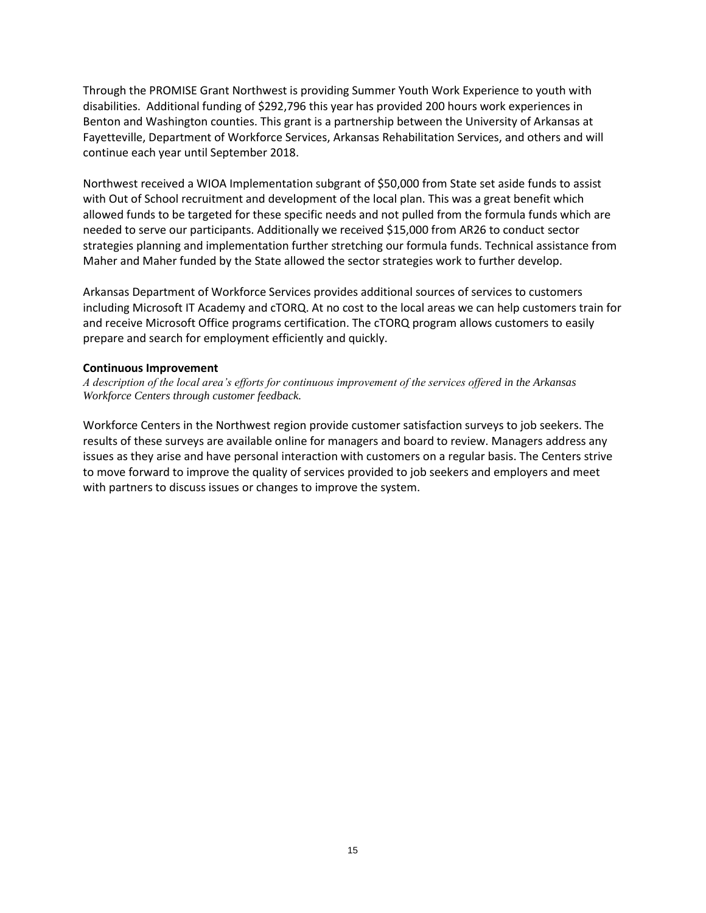Through the PROMISE Grant Northwest is providing Summer Youth Work Experience to youth with disabilities. Additional funding of \$292,796 this year has provided 200 hours work experiences in Benton and Washington counties. This grant is a partnership between the University of Arkansas at Fayetteville, Department of Workforce Services, Arkansas Rehabilitation Services, and others and will continue each year until September 2018.

Northwest received a WIOA Implementation subgrant of \$50,000 from State set aside funds to assist with Out of School recruitment and development of the local plan. This was a great benefit which allowed funds to be targeted for these specific needs and not pulled from the formula funds which are needed to serve our participants. Additionally we received \$15,000 from AR26 to conduct sector strategies planning and implementation further stretching our formula funds. Technical assistance from Maher and Maher funded by the State allowed the sector strategies work to further develop.

Arkansas Department of Workforce Services provides additional sources of services to customers including Microsoft IT Academy and cTORQ. At no cost to the local areas we can help customers train for and receive Microsoft Office programs certification. The cTORQ program allows customers to easily prepare and search for employment efficiently and quickly.

#### **Continuous Improvement**

*A description of the local area's efforts for continuous improvement of the services offered in the Arkansas Workforce Centers through customer feedback.*

Workforce Centers in the Northwest region provide customer satisfaction surveys to job seekers. The results of these surveys are available online for managers and board to review. Managers address any issues as they arise and have personal interaction with customers on a regular basis. The Centers strive to move forward to improve the quality of services provided to job seekers and employers and meet with partners to discuss issues or changes to improve the system.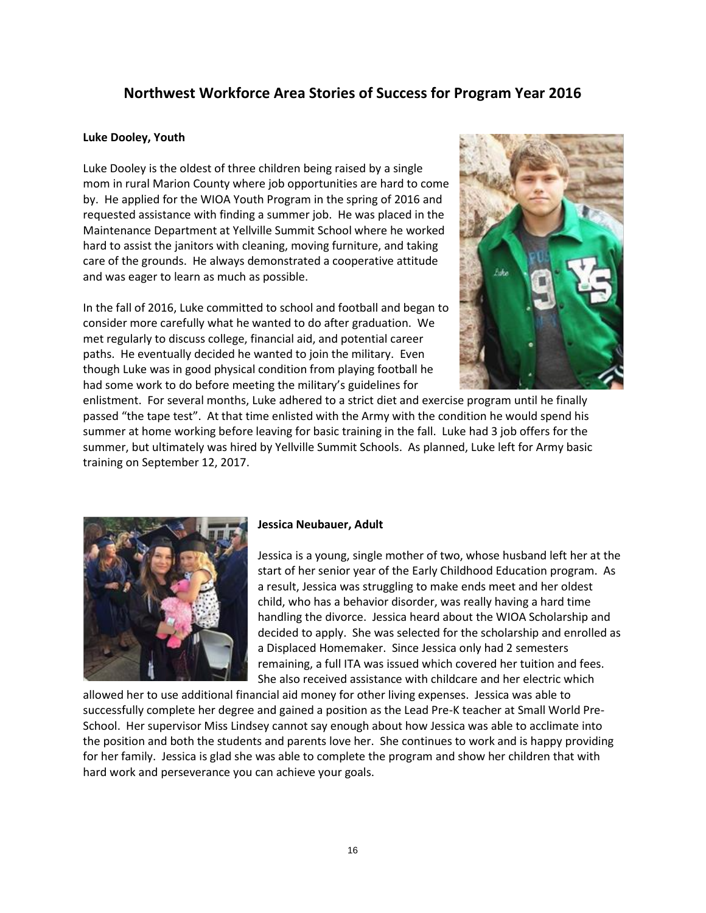# **Northwest Workforce Area Stories of Success for Program Year 2016**

#### **Luke Dooley, Youth**

Luke Dooley is the oldest of three children being raised by a single mom in rural Marion County where job opportunities are hard to come by. He applied for the WIOA Youth Program in the spring of 2016 and requested assistance with finding a summer job. He was placed in the Maintenance Department at Yellville Summit School where he worked hard to assist the janitors with cleaning, moving furniture, and taking care of the grounds. He always demonstrated a cooperative attitude and was eager to learn as much as possible.

In the fall of 2016, Luke committed to school and football and began to consider more carefully what he wanted to do after graduation. We met regularly to discuss college, financial aid, and potential career paths. He eventually decided he wanted to join the military. Even though Luke was in good physical condition from playing football he had some work to do before meeting the military's guidelines for



enlistment. For several months, Luke adhered to a strict diet and exercise program until he finally passed "the tape test". At that time enlisted with the Army with the condition he would spend his summer at home working before leaving for basic training in the fall. Luke had 3 job offers for the summer, but ultimately was hired by Yellville Summit Schools. As planned, Luke left for Army basic training on September 12, 2017.



#### **Jessica Neubauer, Adult**

Jessica is a young, single mother of two, whose husband left her at the start of her senior year of the Early Childhood Education program. As a result, Jessica was struggling to make ends meet and her oldest child, who has a behavior disorder, was really having a hard time handling the divorce. Jessica heard about the WIOA Scholarship and decided to apply. She was selected for the scholarship and enrolled as a Displaced Homemaker. Since Jessica only had 2 semesters remaining, a full ITA was issued which covered her tuition and fees. She also received assistance with childcare and her electric which

allowed her to use additional financial aid money for other living expenses. Jessica was able to successfully complete her degree and gained a position as the Lead Pre-K teacher at Small World Pre-School. Her supervisor Miss Lindsey cannot say enough about how Jessica was able to acclimate into the position and both the students and parents love her. She continues to work and is happy providing for her family. Jessica is glad she was able to complete the program and show her children that with hard work and perseverance you can achieve your goals.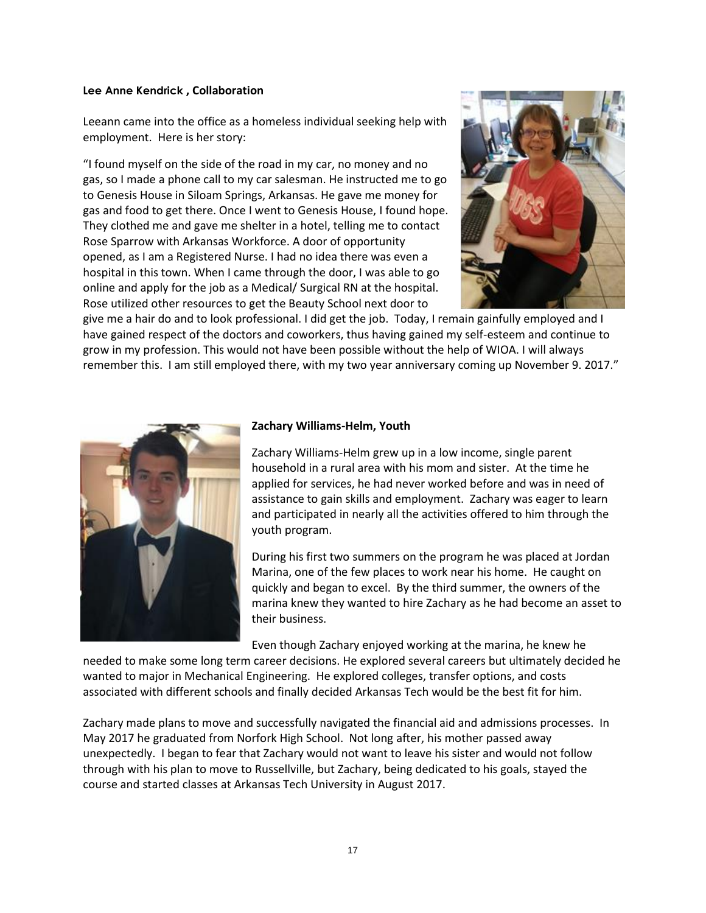#### **Lee Anne Kendrick , Collaboration**

Leeann came into the office as a homeless individual seeking help with employment. Here is her story:

"I found myself on the side of the road in my car, no money and no gas, so I made a phone call to my car salesman. He instructed me to go to Genesis House in Siloam Springs, Arkansas. He gave me money for gas and food to get there. Once I went to Genesis House, I found hope. They clothed me and gave me shelter in a hotel, telling me to contact Rose Sparrow with Arkansas Workforce. A door of opportunity opened, as I am a Registered Nurse. I had no idea there was even a hospital in this town. When I came through the door, I was able to go online and apply for the job as a Medical/ Surgical RN at the hospital. Rose utilized other resources to get the Beauty School next door to



give me a hair do and to look professional. I did get the job. Today, I remain gainfully employed and I have gained respect of the doctors and coworkers, thus having gained my self-esteem and continue to grow in my profession. This would not have been possible without the help of WIOA. I will always remember this. I am still employed there, with my two year anniversary coming up November 9. 2017."



#### **Zachary Williams-Helm, Youth**

Zachary Williams-Helm grew up in a low income, single parent household in a rural area with his mom and sister. At the time he applied for services, he had never worked before and was in need of assistance to gain skills and employment. Zachary was eager to learn and participated in nearly all the activities offered to him through the youth program.

During his first two summers on the program he was placed at Jordan Marina, one of the few places to work near his home. He caught on quickly and began to excel. By the third summer, the owners of the marina knew they wanted to hire Zachary as he had become an asset to their business.

Even though Zachary enjoyed working at the marina, he knew he

needed to make some long term career decisions. He explored several careers but ultimately decided he wanted to major in Mechanical Engineering. He explored colleges, transfer options, and costs associated with different schools and finally decided Arkansas Tech would be the best fit for him.

Zachary made plans to move and successfully navigated the financial aid and admissions processes. In May 2017 he graduated from Norfork High School. Not long after, his mother passed away unexpectedly. I began to fear that Zachary would not want to leave his sister and would not follow through with his plan to move to Russellville, but Zachary, being dedicated to his goals, stayed the course and started classes at Arkansas Tech University in August 2017.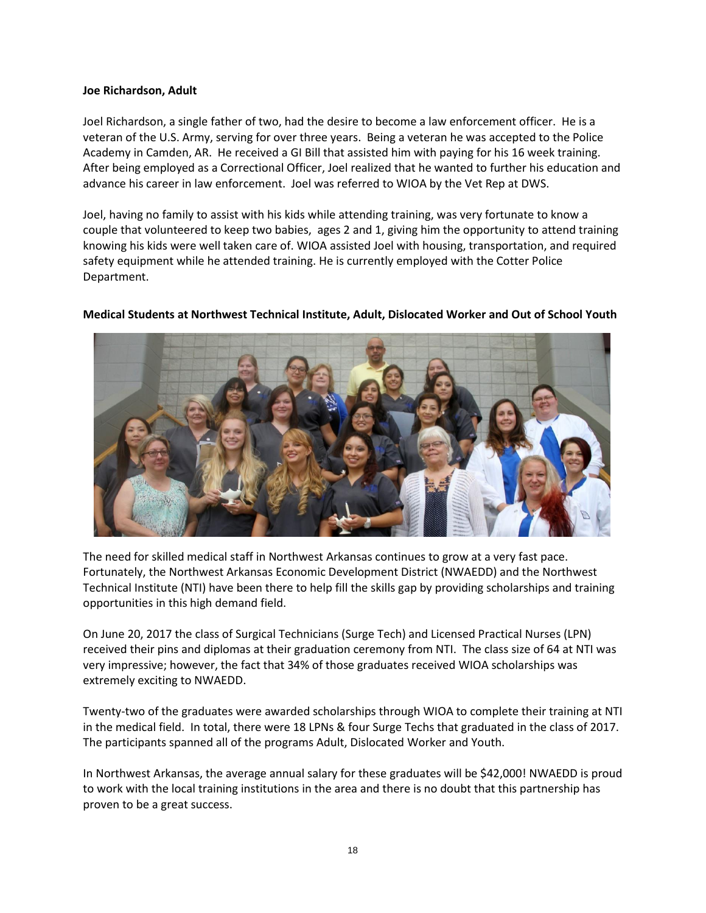#### **Joe Richardson, Adult**

Joel Richardson, a single father of two, had the desire to become a law enforcement officer. He is a veteran of the U.S. Army, serving for over three years. Being a veteran he was accepted to the Police Academy in Camden, AR. He received a GI Bill that assisted him with paying for his 16 week training. After being employed as a Correctional Officer, Joel realized that he wanted to further his education and advance his career in law enforcement. Joel was referred to WIOA by the Vet Rep at DWS.

Joel, having no family to assist with his kids while attending training, was very fortunate to know a couple that volunteered to keep two babies, ages 2 and 1, giving him the opportunity to attend training knowing his kids were well taken care of. WIOA assisted Joel with housing, transportation, and required safety equipment while he attended training. He is currently employed with the Cotter Police Department.



#### **Medical Students at Northwest Technical Institute, Adult, Dislocated Worker and Out of School Youth**

The need for skilled medical staff in Northwest Arkansas continues to grow at a very fast pace. Fortunately, the Northwest Arkansas Economic Development District (NWAEDD) and the Northwest Technical Institute (NTI) have been there to help fill the skills gap by providing scholarships and training opportunities in this high demand field.

On June 20, 2017 the class of Surgical Technicians (Surge Tech) and Licensed Practical Nurses (LPN) received their pins and diplomas at their graduation ceremony from NTI. The class size of 64 at NTI was very impressive; however, the fact that 34% of those graduates received WIOA scholarships was extremely exciting to NWAEDD.

Twenty-two of the graduates were awarded scholarships through WIOA to complete their training at NTI in the medical field. In total, there were 18 LPNs & four Surge Techs that graduated in the class of 2017. The participants spanned all of the programs Adult, Dislocated Worker and Youth.

In Northwest Arkansas, the average annual salary for these graduates will be \$42,000! NWAEDD is proud to work with the local training institutions in the area and there is no doubt that this partnership has proven to be a great success.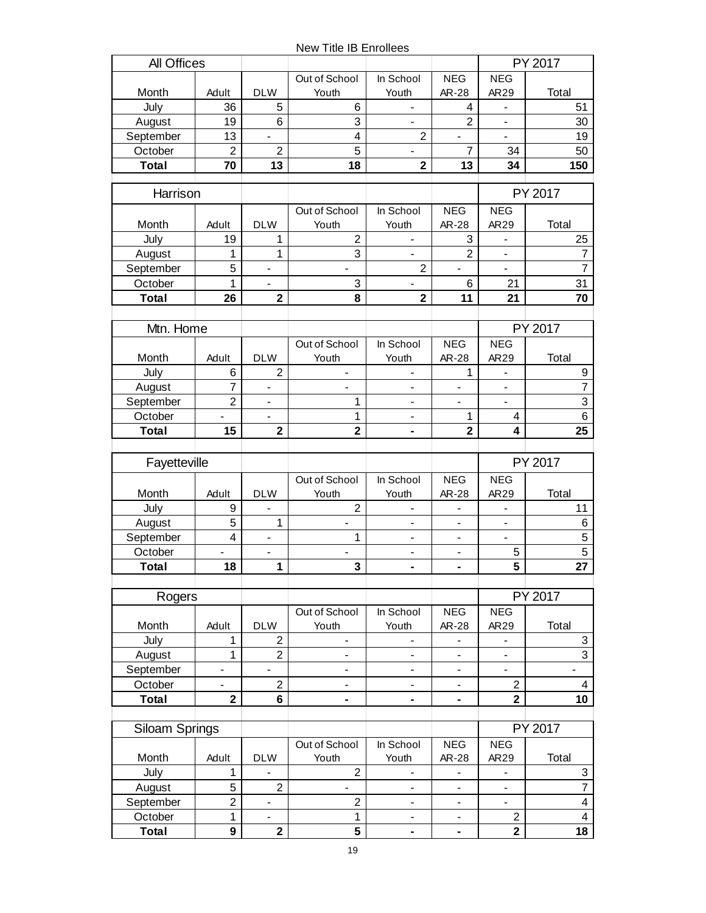New Title IB Enrollees

| All Offices      |                              |                                          |                                            |                                            |                              |                              | PY 2017                      |
|------------------|------------------------------|------------------------------------------|--------------------------------------------|--------------------------------------------|------------------------------|------------------------------|------------------------------|
|                  |                              |                                          | Out of School                              | In School                                  | <b>NEG</b>                   | <b>NEG</b>                   |                              |
| Month            | Adult                        | <b>DLW</b>                               | Youth                                      | Youth                                      | AR-28                        | AR29                         | Total                        |
| July             | 36                           | 5                                        | 6                                          | $\qquad \qquad \blacksquare$               | 4                            | $\qquad \qquad \blacksquare$ | 51                           |
| August           | 19                           | 6                                        | 3                                          | $\overline{\phantom{0}}$                   | $\overline{2}$               | $\overline{\phantom{a}}$     | 30                           |
| September        | 13                           | $\blacksquare$                           | $\overline{\mathbf{4}}$                    | $\overline{c}$                             | $\overline{a}$               | $\overline{a}$               | 19                           |
| October          | $\overline{2}$               | $\overline{2}$                           | 5                                          | $\qquad \qquad \blacksquare$               | 7                            | 34                           | 50                           |
| <b>Total</b>     | 70                           | 13                                       | 18                                         | $\overline{2}$                             | 13                           | 34                           | 150                          |
| Harrison         |                              |                                          |                                            |                                            |                              |                              | PY 2017                      |
|                  |                              |                                          | Out of School                              | In School                                  | <b>NEG</b>                   | <b>NEG</b>                   |                              |
| Month            | Adult                        | <b>DLW</b>                               | Youth                                      | Youth                                      | AR-28                        | AR29                         | Total                        |
| July             | 19                           | 1                                        | $\overline{2}$                             |                                            | 3                            |                              | 25                           |
| August           | 1                            | 1                                        | 3                                          |                                            | $\overline{2}$               | $\overline{\phantom{a}}$     | $\overline{7}$               |
| September        | 5                            | $\qquad \qquad \blacksquare$             | $\overline{\phantom{0}}$                   | $\overline{2}$                             | $\overline{\phantom{a}}$     | $\overline{\phantom{a}}$     | $\overline{7}$               |
| October          | 1                            | $\overline{\phantom{a}}$                 | 3                                          | $\blacksquare$                             | 6                            | 21                           | 31                           |
| <b>Total</b>     | 26                           | $\overline{\mathbf{2}}$                  | 8                                          | $\overline{2}$                             | 11                           | 21                           | 70                           |
|                  |                              |                                          |                                            |                                            |                              |                              |                              |
| Mtn. Home        |                              |                                          |                                            |                                            |                              |                              | PY 2017                      |
|                  |                              |                                          | Out of School                              | In School                                  | <b>NEG</b>                   | <b>NEG</b>                   |                              |
| Month            | Adult                        | <b>DLW</b>                               | Youth                                      | Youth                                      | AR-28                        | AR29                         | Total                        |
| July             | 6                            | $\overline{c}$                           | -                                          | -                                          | 1                            | -                            | $\boldsymbol{9}$             |
| August           | 7                            | $\blacksquare$                           | $\overline{\phantom{0}}$                   | $\qquad \qquad \blacksquare$               | $\qquad \qquad \blacksquare$ | $\overline{\phantom{a}}$     | 7                            |
| September        | $\overline{2}$               | $\overline{\phantom{a}}$                 | 1                                          | $\overline{\phantom{a}}$                   | $\overline{a}$               | $\overline{\phantom{a}}$     | $\overline{3}$               |
| October          | $\overline{a}$               | $\overline{a}$                           | 1                                          |                                            | 1                            | 4                            | 6                            |
| <b>Total</b>     | 15                           | $\overline{2}$                           | $\overline{2}$                             |                                            | $\overline{2}$               | 4                            | 25                           |
|                  |                              |                                          |                                            |                                            |                              |                              |                              |
|                  |                              |                                          |                                            |                                            |                              |                              |                              |
| Fayetteville     |                              |                                          |                                            |                                            |                              |                              | PY 2017                      |
|                  |                              |                                          | Out of School                              | In School                                  | <b>NEG</b>                   | <b>NEG</b>                   |                              |
| Month            | Adult                        | <b>DLW</b><br>$\overline{a}$             | Youth                                      | Youth                                      | AR-28<br>$\overline{a}$      | AR29                         | Total                        |
| July             | 9                            |                                          | $\overline{2}$<br>$\overline{\phantom{a}}$ | $\blacksquare$<br>$\overline{\phantom{a}}$ | $\overline{\phantom{0}}$     | $\frac{1}{2}$                | 11                           |
| August           | 5                            | $\mathbf{1}$                             |                                            | $\overline{\phantom{0}}$                   | $\overline{a}$               | $\overline{\phantom{a}}$     | $\,6\,$                      |
| September        | $\overline{\mathbf{4}}$      | $\qquad \qquad \blacksquare$             | 1                                          |                                            |                              | $\frac{1}{2}$                | 5                            |
| October<br>Total | $\overline{\phantom{a}}$     | $\overline{\phantom{0}}$                 | $\overline{\phantom{0}}$                   | $\qquad \qquad \blacksquare$               | $\qquad \qquad \blacksquare$ | 5                            | $\overline{5}$               |
|                  | 18                           | $\mathbf{1}$                             | $\overline{\mathbf{3}}$                    |                                            | ٠                            | 5                            | 27                           |
| Rogers           |                              |                                          |                                            |                                            |                              |                              | PY 2017                      |
|                  |                              |                                          | Out of School                              | In School                                  | <b>NEG</b>                   | <b>NEG</b>                   |                              |
| Month            | Adult                        | <b>DLW</b>                               | Youth                                      | Youth                                      | AR-28                        | AR29                         | Total                        |
| July             | 1                            | $\overline{2}$                           | $\blacksquare$                             | $\qquad \qquad \blacksquare$               | $\overline{\phantom{0}}$     | $\blacksquare$               | $\ensuremath{\mathsf{3}}$    |
| August           | 1                            | $\overline{c}$                           | $\qquad \qquad \blacksquare$               | $\overline{\phantom{0}}$                   | $\overline{a}$               | $\qquad \qquad \blacksquare$ | $\overline{3}$               |
| September        | $\qquad \qquad \blacksquare$ | $\overline{\phantom{a}}$                 | -                                          | $\qquad \qquad \blacksquare$               | $\qquad \qquad \blacksquare$ | $\overline{\phantom{a}}$     | $\qquad \qquad \blacksquare$ |
| October          | $\overline{\phantom{a}}$     | $\overline{2}$                           | $\blacksquare$                             | $\blacksquare$                             | $\qquad \qquad \blacksquare$ | $\overline{c}$               | 4                            |
| <b>Total</b>     | $\overline{\mathbf{2}}$      | 6                                        | $\blacksquare$                             | $\blacksquare$                             | ۰                            | $\overline{2}$               | 10                           |
| Siloam Springs   |                              |                                          |                                            |                                            |                              |                              | PY 2017                      |
|                  |                              |                                          | Out of School                              | In School                                  | <b>NEG</b>                   | <b>NEG</b>                   |                              |
| Month            | Adult                        | <b>DLW</b>                               | Youth                                      | Youth                                      | AR-28                        | AR29                         | Total                        |
| July             | $\mathbf 1$                  |                                          | $\overline{2}$                             |                                            | -                            |                              | 3                            |
| August           | 5                            | $\overline{2}$                           | $\overline{\phantom{a}}$                   | $\qquad \qquad \blacksquare$               | $\overline{\phantom{0}}$     | $\blacksquare$               | $\overline{7}$               |
| September        | $\overline{2}$               | $\overline{\phantom{a}}$                 | $\overline{c}$                             | $\overline{\phantom{a}}$                   | $\overline{\phantom{0}}$     | $\overline{\phantom{a}}$     | $\overline{\mathbf{4}}$      |
| October          | $\mathbf 1$                  | $\overline{\phantom{a}}$<br>$\mathbf{2}$ | $\mathbf 1$<br>5                           | $\blacksquare$                             | $\qquad \qquad \blacksquare$ | $\overline{c}$               | $\overline{4}$               |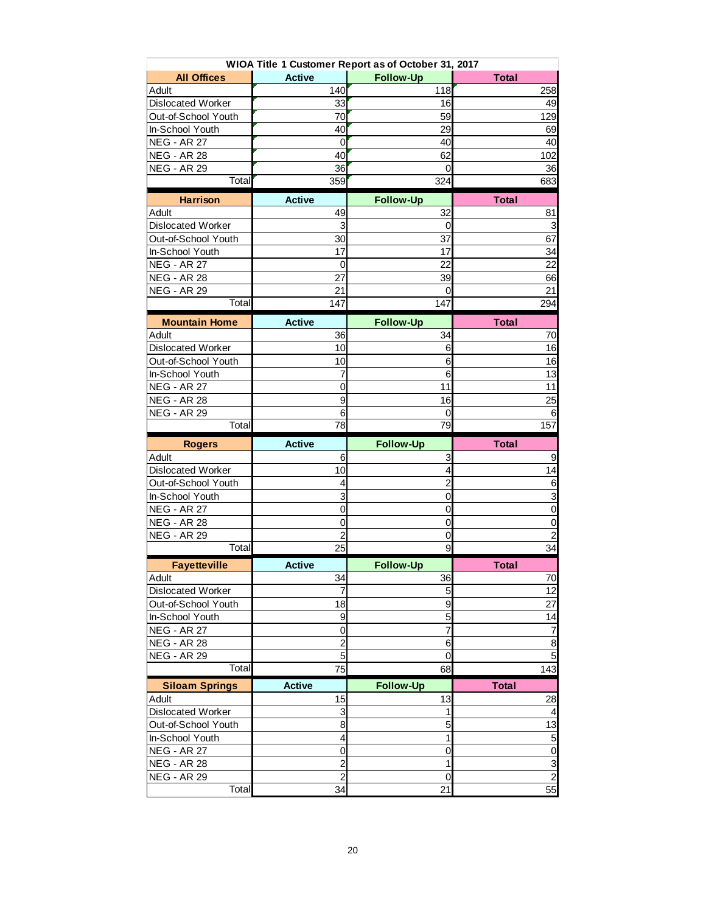|                                          |                      | WIOA Title 1 Customer Report as of October 31, 2017 |                                                                                  |
|------------------------------------------|----------------------|-----------------------------------------------------|----------------------------------------------------------------------------------|
| <b>All Offices</b>                       | <b>Active</b>        | <b>Follow-Up</b>                                    | <b>Total</b>                                                                     |
| Adult                                    | 140                  | 118                                                 | 258                                                                              |
| <b>Dislocated Worker</b>                 | 33                   | 16                                                  | 49                                                                               |
| Out-of-School Youth                      | 70                   | 59                                                  | 129                                                                              |
| In-School Youth                          | 40                   | 29                                                  | 69                                                                               |
| <b>NEG - AR 27</b>                       | 0                    | 40                                                  | 40                                                                               |
| <b>NEG - AR 28</b>                       | 40                   | 62                                                  | 102                                                                              |
| <b>NEG - AR 29</b>                       | 36                   | 0                                                   | 36                                                                               |
| Total                                    | 359                  | 324                                                 | 683                                                                              |
| <b>Harrison</b>                          | <b>Active</b>        | <b>Follow-Up</b>                                    | <b>Total</b>                                                                     |
| Adult                                    | 49                   | 32                                                  | 81                                                                               |
| <b>Dislocated Worker</b>                 | 3                    | 0                                                   | 3                                                                                |
| Out-of-School Youth                      | 30                   | 37                                                  | 67                                                                               |
| In-School Youth                          | 17                   | 17                                                  | 34                                                                               |
| <b>NEG - AR 27</b>                       | 0                    | 22                                                  | 22                                                                               |
| <b>NEG - AR 28</b>                       | 27                   | 39                                                  | 66                                                                               |
| <b>NEG - AR 29</b>                       | 21                   | 0                                                   | 21                                                                               |
| Total                                    | 147                  | 147                                                 | 294                                                                              |
| <b>Mountain Home</b>                     | <b>Active</b>        | <b>Follow-Up</b>                                    | <b>Total</b>                                                                     |
| Adult                                    | 36                   | 34                                                  | 70                                                                               |
| <b>Dislocated Worker</b>                 | 10                   | 6                                                   | 16                                                                               |
| Out-of-School Youth                      | 10                   | 6                                                   | 16                                                                               |
| In-School Youth                          | 7                    | 6                                                   | 13                                                                               |
| <b>NEG - AR 27</b>                       | 0                    | 11                                                  | 11                                                                               |
| <b>NEG - AR 28</b>                       | 9                    | 16                                                  | 25                                                                               |
| <b>NEG - AR 29</b>                       | 6                    | 0                                                   | 6                                                                                |
| Total                                    | 78                   | 79                                                  | 157                                                                              |
|                                          |                      |                                                     |                                                                                  |
|                                          |                      |                                                     |                                                                                  |
| <b>Rogers</b>                            | <b>Active</b>        | <b>Follow-Up</b>                                    | <b>Total</b>                                                                     |
| Adult                                    | 6                    | 3                                                   |                                                                                  |
| <b>Dislocated Worker</b>                 | 10<br>4              | 4                                                   |                                                                                  |
| Out-of-School Youth                      |                      | $\overline{c}$<br>0                                 |                                                                                  |
| In-School Youth                          | 3                    |                                                     |                                                                                  |
| <b>NEG - AR 27</b>                       | 0                    | 0                                                   | 9<br>14<br>6<br>$\overline{3}$<br>$\mathbf 0$                                    |
| <b>NEG - AR 28</b>                       | 0                    | 0                                                   |                                                                                  |
| <b>NEG - AR 29</b><br>Total              | $\overline{c}$<br>25 | 0<br>9                                              |                                                                                  |
|                                          |                      |                                                     |                                                                                  |
| <b>Fayetteville</b>                      | <b>Active</b>        | <b>Follow-Up</b>                                    | <b>Total</b>                                                                     |
| Adult<br><b>Dislocated Worker</b>        | 34<br>$\overline{7}$ | 36                                                  |                                                                                  |
|                                          |                      | $5\overline{)}$                                     |                                                                                  |
| Out-of-School Youth                      | 18<br>9              | $\boldsymbol{9}$                                    |                                                                                  |
| In-School Youth                          | 0                    | 5<br>$\overline{7}$                                 |                                                                                  |
| <b>NEG - AR 27</b><br><b>NEG - AR 28</b> | $\overline{2}$       | $6\phantom{1}6$                                     |                                                                                  |
|                                          |                      | $\overline{0}$                                      |                                                                                  |
| <b>NEG - AR 29</b><br>Total              | 5<br>75              | 68                                                  |                                                                                  |
|                                          |                      |                                                     | 0<br>$\overline{\mathbf{c}}$<br>34<br>70<br>12<br>27<br>14<br>7<br>8<br>5<br>143 |
| <b>Siloam Springs</b><br>Adult           | <b>Active</b><br>15  | <b>Follow-Up</b><br>13                              | <b>Total</b><br>28                                                               |
| Dislocated Worker                        | 3                    | 1                                                   |                                                                                  |
| Out-of-School Youth                      | 8                    | 5                                                   |                                                                                  |
| In-School Youth                          | 4                    | 1                                                   |                                                                                  |
| <b>NEG - AR 27</b>                       | 0                    | 0                                                   | 4<br>13<br>5<br>0                                                                |
| <b>NEG - AR 28</b>                       | $\overline{c}$       | 1                                                   | 3                                                                                |
| <b>NEG - AR 29</b>                       | $\overline{2}$       | $\overline{0}$                                      | $\overline{c}$                                                                   |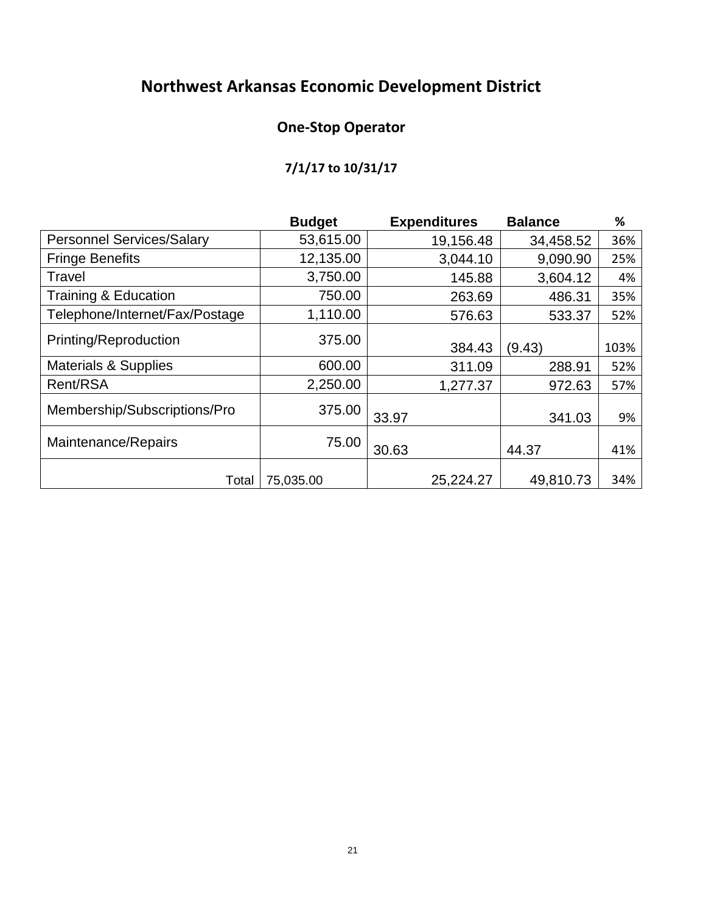# **Northwest Arkansas Economic Development District**

# **One-Stop Operator**

# **7/1/17 to 10/31/17**

|                                  | <b>Budget</b> |       | <b>Expenditures</b> | <b>Balance</b> | %    |
|----------------------------------|---------------|-------|---------------------|----------------|------|
| <b>Personnel Services/Salary</b> | 53,615.00     |       | 19,156.48           | 34,458.52      | 36%  |
| <b>Fringe Benefits</b>           | 12,135.00     |       | 3,044.10            | 9,090.90       | 25%  |
| Travel                           | 3,750.00      |       | 145.88              | 3,604.12       | 4%   |
| <b>Training &amp; Education</b>  | 750.00        |       | 263.69              | 486.31         | 35%  |
| Telephone/Internet/Fax/Postage   | 1,110.00      |       | 576.63              | 533.37         | 52%  |
| Printing/Reproduction            | 375.00        |       | 384.43              | (9.43)         | 103% |
| <b>Materials &amp; Supplies</b>  | 600.00        |       | 311.09              | 288.91         | 52%  |
| Rent/RSA                         | 2,250.00      |       | 1,277.37            | 972.63         | 57%  |
| Membership/Subscriptions/Pro     | 375.00        | 33.97 |                     | 341.03         | 9%   |
| Maintenance/Repairs              | 75.00         | 30.63 |                     | 44.37          | 41%  |
| Total                            | 75,035.00     |       | 25,224.27           | 49,810.73      | 34%  |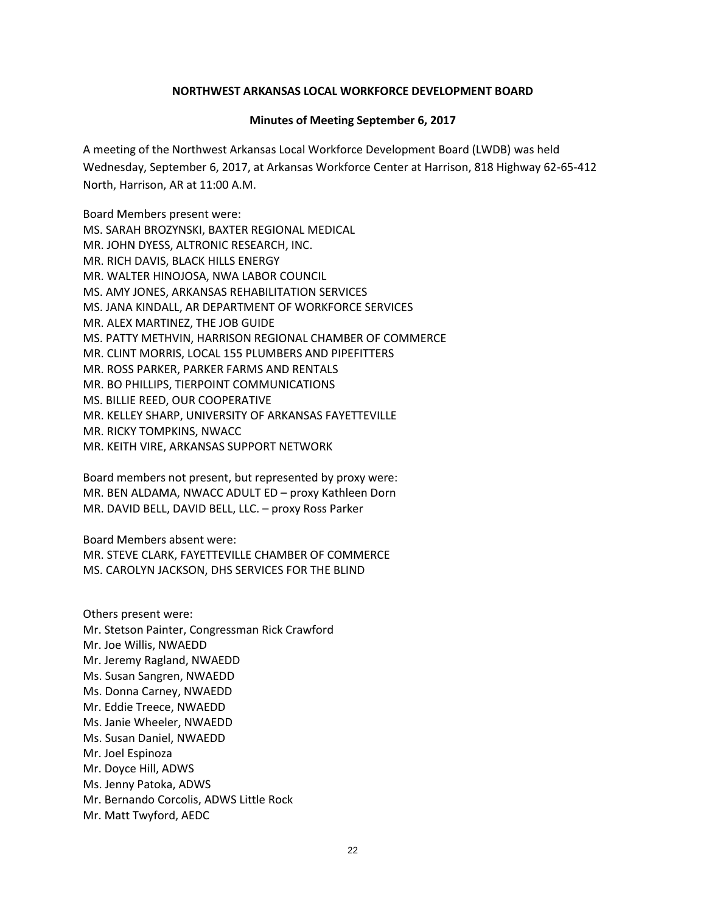#### **NORTHWEST ARKANSAS LOCAL WORKFORCE DEVELOPMENT BOARD**

#### **Minutes of Meeting September 6, 2017**

A meeting of the Northwest Arkansas Local Workforce Development Board (LWDB) was held Wednesday, September 6, 2017, at Arkansas Workforce Center at Harrison, 818 Highway 62-65-412 North, Harrison, AR at 11:00 A.M.

Board Members present were: MS. SARAH BROZYNSKI, BAXTER REGIONAL MEDICAL MR. JOHN DYESS, ALTRONIC RESEARCH, INC. MR. RICH DAVIS, BLACK HILLS ENERGY MR. WALTER HINOJOSA, NWA LABOR COUNCIL MS. AMY JONES, ARKANSAS REHABILITATION SERVICES MS. JANA KINDALL, AR DEPARTMENT OF WORKFORCE SERVICES MR. ALEX MARTINEZ, THE JOB GUIDE MS. PATTY METHVIN, HARRISON REGIONAL CHAMBER OF COMMERCE MR. CLINT MORRIS, LOCAL 155 PLUMBERS AND PIPEFITTERS MR. ROSS PARKER, PARKER FARMS AND RENTALS MR. BO PHILLIPS, TIERPOINT COMMUNICATIONS MS. BILLIE REED, OUR COOPERATIVE MR. KELLEY SHARP, UNIVERSITY OF ARKANSAS FAYETTEVILLE MR. RICKY TOMPKINS, NWACC MR. KEITH VIRE, ARKANSAS SUPPORT NETWORK

Board members not present, but represented by proxy were: MR. BEN ALDAMA, NWACC ADULT ED – proxy Kathleen Dorn MR. DAVID BELL, DAVID BELL, LLC. – proxy Ross Parker

Board Members absent were: MR. STEVE CLARK, FAYETTEVILLE CHAMBER OF COMMERCE MS. CAROLYN JACKSON, DHS SERVICES FOR THE BLIND

Others present were: Mr. Stetson Painter, Congressman Rick Crawford Mr. Joe Willis, NWAEDD Mr. Jeremy Ragland, NWAEDD Ms. Susan Sangren, NWAEDD Ms. Donna Carney, NWAEDD Mr. Eddie Treece, NWAEDD Ms. Janie Wheeler, NWAEDD Ms. Susan Daniel, NWAEDD Mr. Joel Espinoza Mr. Doyce Hill, ADWS Ms. Jenny Patoka, ADWS Mr. Bernando Corcolis, ADWS Little Rock Mr. Matt Twyford, AEDC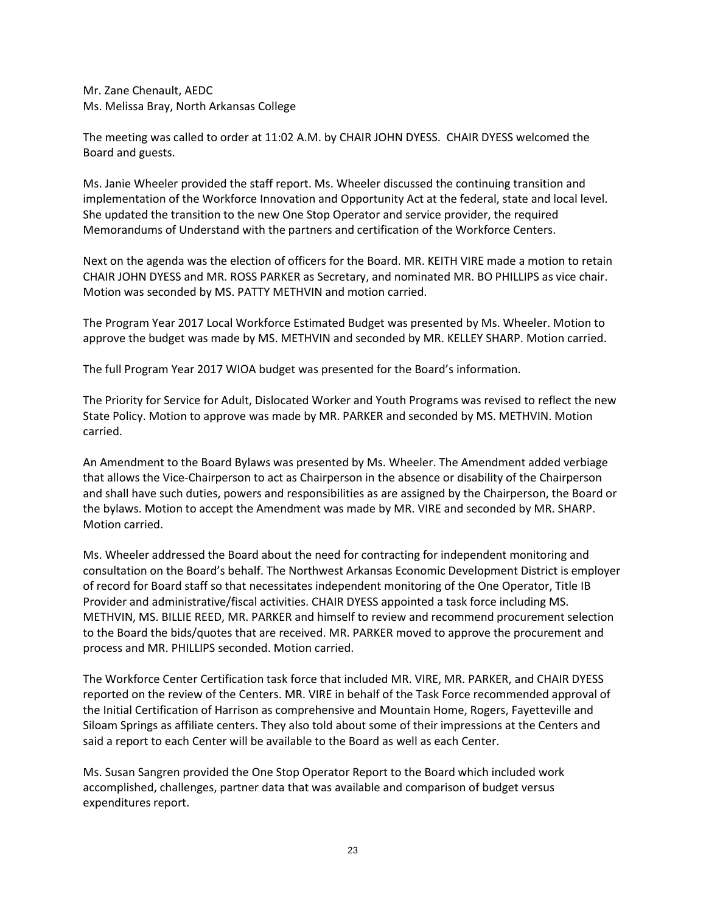Mr. Zane Chenault, AEDC Ms. Melissa Bray, North Arkansas College

The meeting was called to order at 11:02 A.M. by CHAIR JOHN DYESS. CHAIR DYESS welcomed the Board and guests.

Ms. Janie Wheeler provided the staff report. Ms. Wheeler discussed the continuing transition and implementation of the Workforce Innovation and Opportunity Act at the federal, state and local level. She updated the transition to the new One Stop Operator and service provider, the required Memorandums of Understand with the partners and certification of the Workforce Centers.

Next on the agenda was the election of officers for the Board. MR. KEITH VIRE made a motion to retain CHAIR JOHN DYESS and MR. ROSS PARKER as Secretary, and nominated MR. BO PHILLIPS as vice chair. Motion was seconded by MS. PATTY METHVIN and motion carried.

The Program Year 2017 Local Workforce Estimated Budget was presented by Ms. Wheeler. Motion to approve the budget was made by MS. METHVIN and seconded by MR. KELLEY SHARP. Motion carried.

The full Program Year 2017 WIOA budget was presented for the Board's information.

The Priority for Service for Adult, Dislocated Worker and Youth Programs was revised to reflect the new State Policy. Motion to approve was made by MR. PARKER and seconded by MS. METHVIN. Motion carried.

An Amendment to the Board Bylaws was presented by Ms. Wheeler. The Amendment added verbiage that allows the Vice-Chairperson to act as Chairperson in the absence or disability of the Chairperson and shall have such duties, powers and responsibilities as are assigned by the Chairperson, the Board or the bylaws. Motion to accept the Amendment was made by MR. VIRE and seconded by MR. SHARP. Motion carried.

Ms. Wheeler addressed the Board about the need for contracting for independent monitoring and consultation on the Board's behalf. The Northwest Arkansas Economic Development District is employer of record for Board staff so that necessitates independent monitoring of the One Operator, Title IB Provider and administrative/fiscal activities. CHAIR DYESS appointed a task force including MS. METHVIN, MS. BILLIE REED, MR. PARKER and himself to review and recommend procurement selection to the Board the bids/quotes that are received. MR. PARKER moved to approve the procurement and process and MR. PHILLIPS seconded. Motion carried.

The Workforce Center Certification task force that included MR. VIRE, MR. PARKER, and CHAIR DYESS reported on the review of the Centers. MR. VIRE in behalf of the Task Force recommended approval of the Initial Certification of Harrison as comprehensive and Mountain Home, Rogers, Fayetteville and Siloam Springs as affiliate centers. They also told about some of their impressions at the Centers and said a report to each Center will be available to the Board as well as each Center.

Ms. Susan Sangren provided the One Stop Operator Report to the Board which included work accomplished, challenges, partner data that was available and comparison of budget versus expenditures report.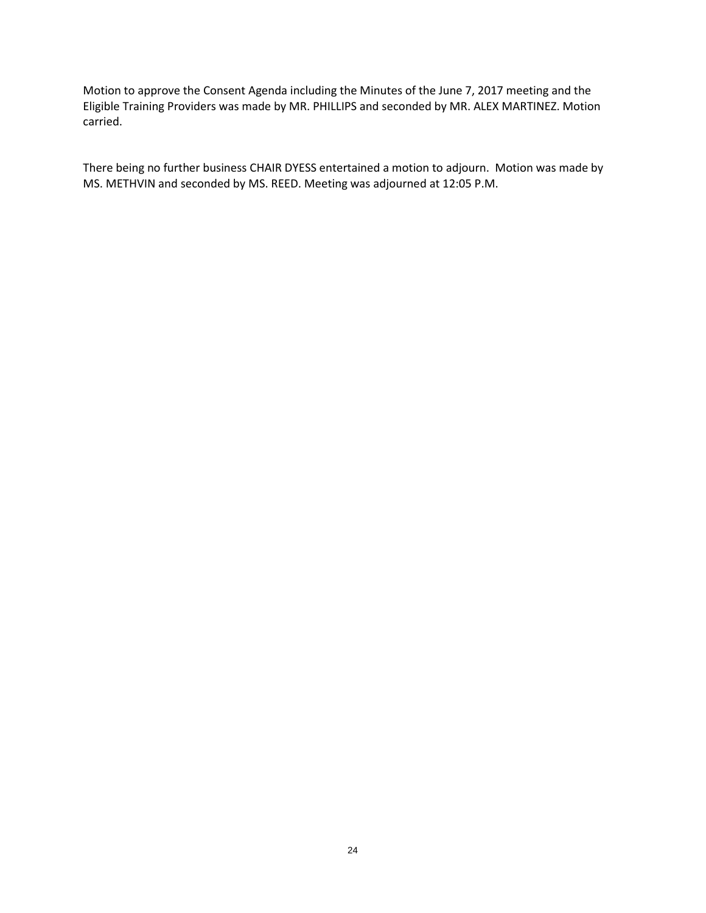Motion to approve the Consent Agenda including the Minutes of the June 7, 2017 meeting and the Eligible Training Providers was made by MR. PHILLIPS and seconded by MR. ALEX MARTINEZ. Motion carried.

There being no further business CHAIR DYESS entertained a motion to adjourn. Motion was made by MS. METHVIN and seconded by MS. REED. Meeting was adjourned at 12:05 P.M.